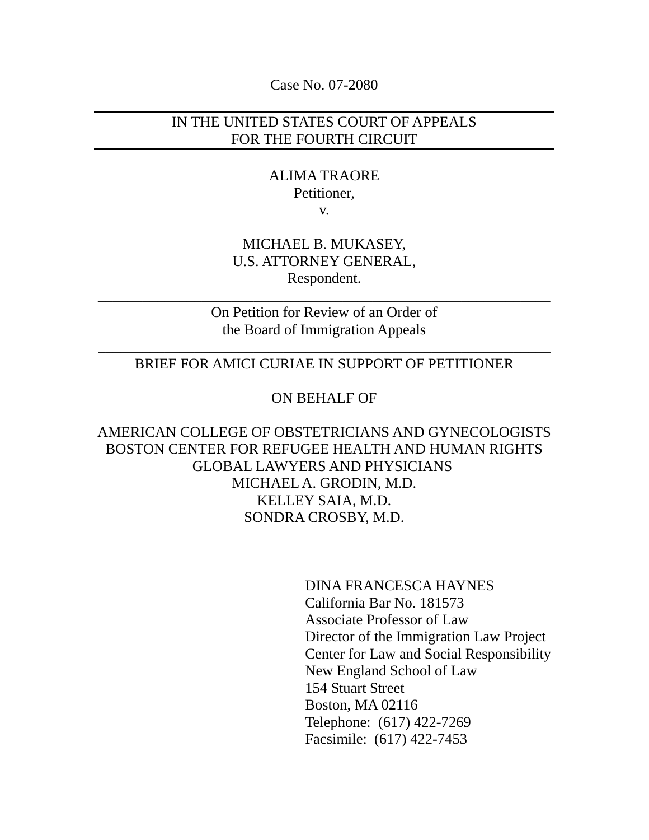Case No. 07-2080

## IN THE UNITED STATES COURT OF APPEALS FOR THE FOURTH CIRCUIT

# ALIMA TRAORE Petitioner,

v.

# MICHAEL B. MUKASEY, U.S. ATTORNEY GENERAL, Respondent.

On Petition for Review of an Order of the Board of Immigration Appeals

\_\_\_\_\_\_\_\_\_\_\_\_\_\_\_\_\_\_\_\_\_\_\_\_\_\_\_\_\_\_\_\_\_\_\_\_\_\_\_\_\_\_\_\_\_\_\_\_\_\_\_\_\_\_\_\_\_\_\_\_\_

## \_\_\_\_\_\_\_\_\_\_\_\_\_\_\_\_\_\_\_\_\_\_\_\_\_\_\_\_\_\_\_\_\_\_\_\_\_\_\_\_\_\_\_\_\_\_\_\_\_\_\_\_\_\_\_\_\_\_\_\_\_ BRIEF FOR AMICI CURIAE IN SUPPORT OF PETITIONER

### ON BEHALF OF

AMERICAN COLLEGE OF OBSTETRICIANS AND GYNECOLOGISTS BOSTON CENTER FOR REFUGEE HEALTH AND HUMAN RIGHTS GLOBAL LAWYERS AND PHYSICIANS MICHAEL A. GRODIN, M.D. KELLEY SAIA, M.D. SONDRA CROSBY, M.D.

> DINA FRANCESCA HAYNES California Bar No. 181573 Associate Professor of Law Director of the Immigration Law Project Center for Law and Social Responsibility New England School of Law 154 Stuart Street Boston, MA 02116 Telephone: (617) 422-7269 Facsimile: (617) 422-7453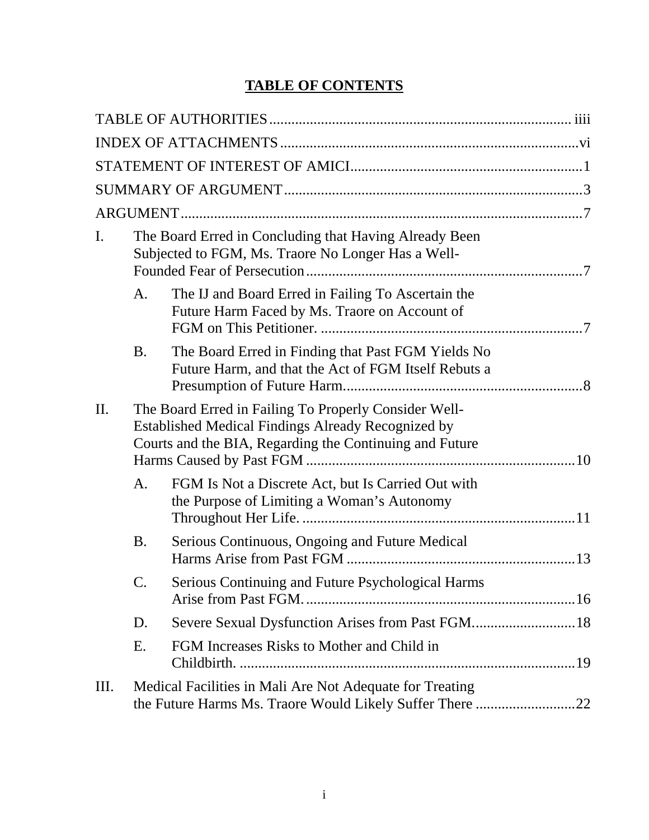# **TABLE OF CONTENTS**

| I. |                | The Board Erred in Concluding that Having Already Been<br>Subjected to FGM, Ms. Traore No Longer Has a Well-                                                           |  |
|----|----------------|------------------------------------------------------------------------------------------------------------------------------------------------------------------------|--|
|    | A.             | The IJ and Board Erred in Failing To Ascertain the<br>Future Harm Faced by Ms. Traore on Account of                                                                    |  |
|    | <b>B.</b>      | The Board Erred in Finding that Past FGM Yields No<br>Future Harm, and that the Act of FGM Itself Rebuts a                                                             |  |
| Π. |                | The Board Erred in Failing To Properly Consider Well-<br>Established Medical Findings Already Recognized by<br>Courts and the BIA, Regarding the Continuing and Future |  |
|    | A <sub>1</sub> | FGM Is Not a Discrete Act, but Is Carried Out with<br>the Purpose of Limiting a Woman's Autonomy                                                                       |  |
|    | <b>B.</b>      | Serious Continuous, Ongoing and Future Medical<br>Harms Arise from Past FGM                                                                                            |  |
|    |                | Serious Continuing and Future Psychological Harms                                                                                                                      |  |
|    | D.             |                                                                                                                                                                        |  |
|    | Ε.             | FGM Increases Risks to Mother and Child in                                                                                                                             |  |
| Ш. |                | Medical Facilities in Mali Are Not Adequate for Treating                                                                                                               |  |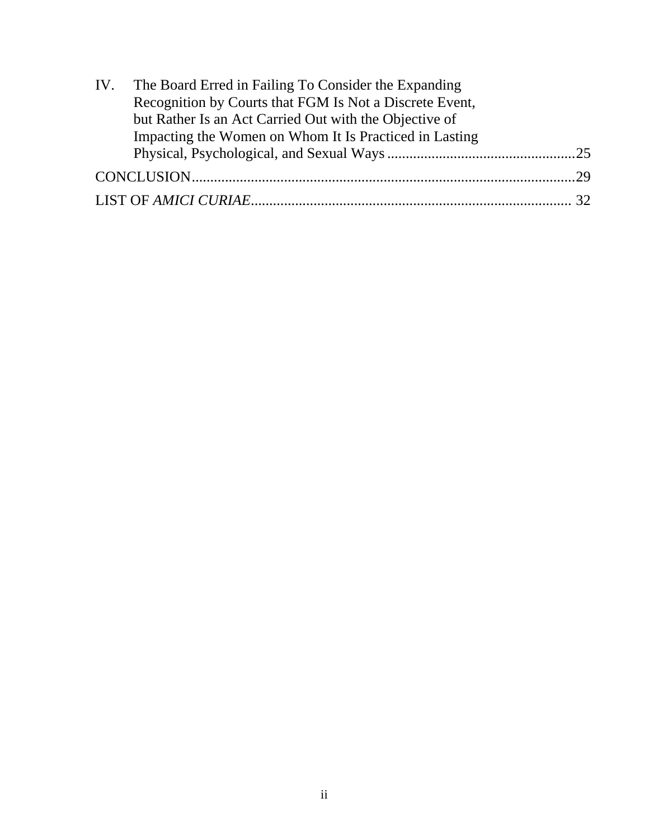| IV. The Board Erred in Failing To Consider the Expanding |  |
|----------------------------------------------------------|--|
| Recognition by Courts that FGM Is Not a Discrete Event,  |  |
| but Rather Is an Act Carried Out with the Objective of   |  |
| Impacting the Women on Whom It Is Practiced in Lasting   |  |
|                                                          |  |
|                                                          |  |
|                                                          |  |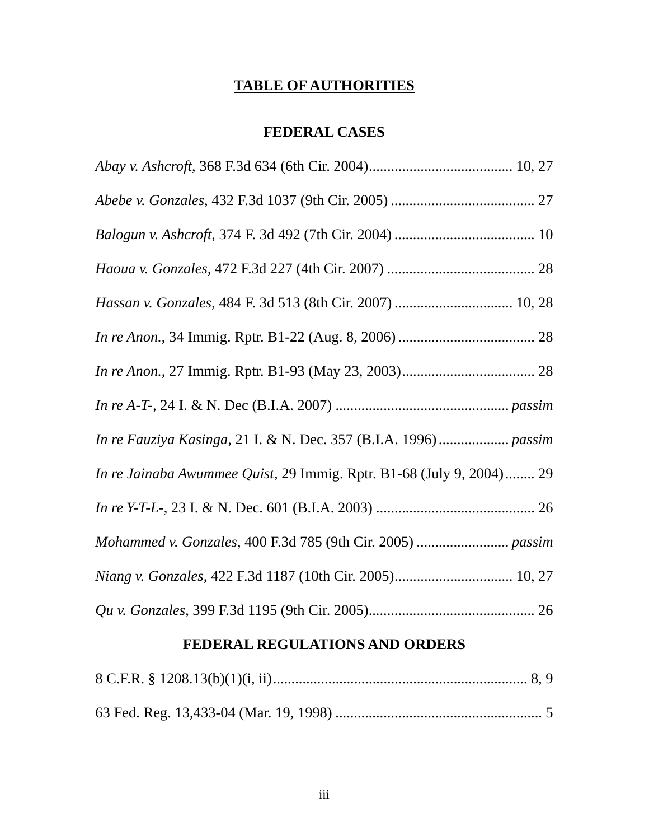# **TABLE OF AUTHORITIES**

# **FEDERAL CASES**

<span id="page-3-0"></span>

| Hassan v. Gonzales, 484 F. 3d 513 (8th Cir. 2007)  10, 28            |
|----------------------------------------------------------------------|
|                                                                      |
|                                                                      |
|                                                                      |
|                                                                      |
| In re Jainaba Awummee Quist, 29 Immig. Rptr. B1-68 (July 9, 2004) 29 |
|                                                                      |
|                                                                      |
|                                                                      |
|                                                                      |

# **FEDERAL REGULATIONS AND ORDERS**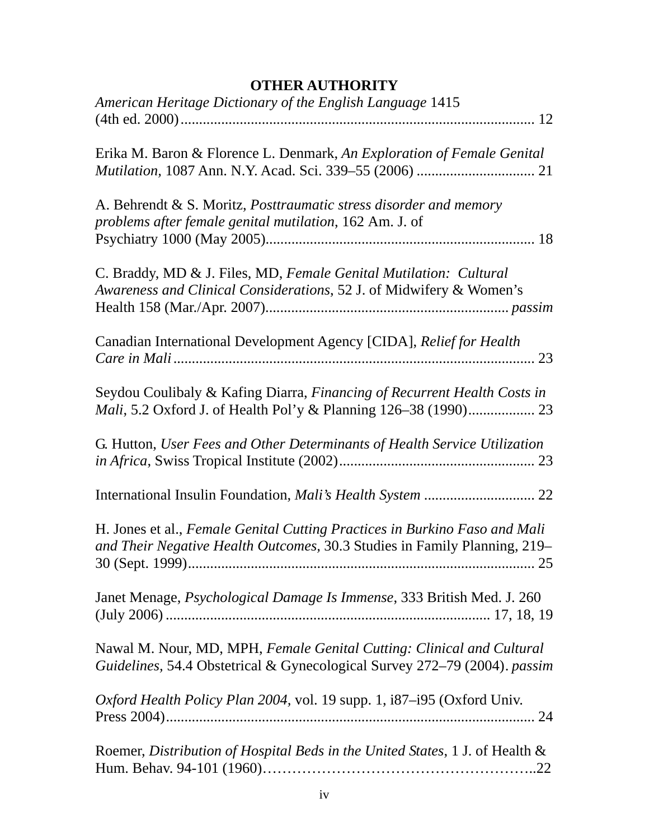| American Heritage Dictionary of the English Language 1415                                                                                               |
|---------------------------------------------------------------------------------------------------------------------------------------------------------|
| Erika M. Baron & Florence L. Denmark, An Exploration of Female Genital                                                                                  |
| A. Behrendt & S. Moritz, Posttraumatic stress disorder and memory<br>problems after female genital mutilation, 162 Am. J. of                            |
| C. Braddy, MD & J. Files, MD, Female Genital Mutilation: Cultural<br>Awareness and Clinical Considerations, 52 J. of Midwifery & Women's                |
| Canadian International Development Agency [CIDA], Relief for Health                                                                                     |
| Seydou Coulibaly & Kafing Diarra, Financing of Recurrent Health Costs in                                                                                |
| G. Hutton, User Fees and Other Determinants of Health Service Utilization                                                                               |
|                                                                                                                                                         |
| H. Jones et al., Female Genital Cutting Practices in Burkino Faso and Mali<br>and Their Negative Health Outcomes, 30.3 Studies in Family Planning, 219- |
| Janet Menage, Psychological Damage Is Immense, 333 British Med. J. 260                                                                                  |
| Nawal M. Nour, MD, MPH, Female Genital Cutting: Clinical and Cultural<br>Guidelines, 54.4 Obstetrical & Gynecological Survey 272-79 (2004). passim      |
| Oxford Health Policy Plan 2004, vol. 19 supp. 1, i87-i95 (Oxford Univ.                                                                                  |
| Roemer, Distribution of Hospital Beds in the United States, 1 J. of Health &                                                                            |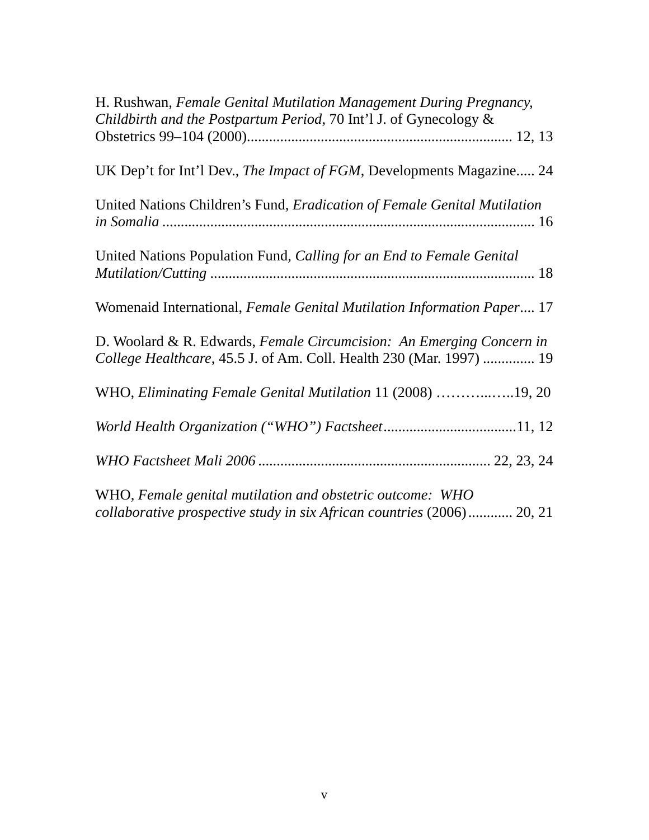| H. Rushwan, Female Genital Mutilation Management During Pregnancy,<br>Childbirth and the Postpartum Period, 70 Int'l J. of Gynecology &     |  |
|---------------------------------------------------------------------------------------------------------------------------------------------|--|
|                                                                                                                                             |  |
| UK Dep't for Int'l Dev., The Impact of FGM, Developments Magazine 24                                                                        |  |
| United Nations Children's Fund, <i>Eradication of Female Genital Mutilation</i>                                                             |  |
| United Nations Population Fund, Calling for an End to Female Genital                                                                        |  |
| Womenaid International, Female Genital Mutilation Information Paper 17                                                                      |  |
| D. Woolard & R. Edwards, Female Circumcision: An Emerging Concern in<br>College Healthcare, 45.5 J. of Am. Coll. Health 230 (Mar. 1997)  19 |  |
| WHO, Eliminating Female Genital Mutilation 11 (2008) 19, 20                                                                                 |  |
|                                                                                                                                             |  |
|                                                                                                                                             |  |
| WHO, Female genital mutilation and obstetric outcome: WHO<br>collaborative prospective study in six African countries (2006) 20, 21         |  |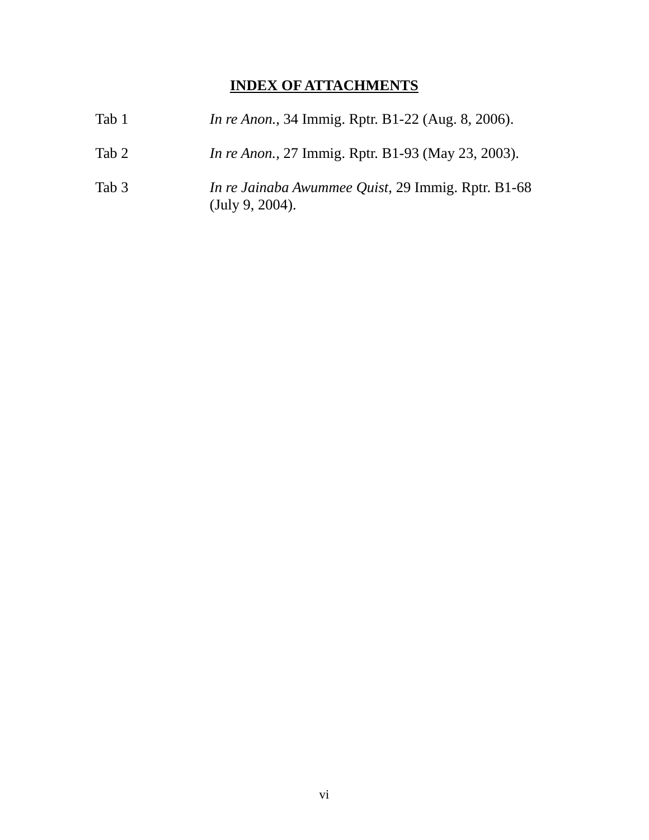# **INDEX OF ATTACHMENTS**

| Tab 1 | <i>In re Anon.</i> , 34 Immig. Rptr. B1-22 (Aug. 8, 2006).                   |
|-------|------------------------------------------------------------------------------|
| Tab 2 | <i>In re Anon.</i> , 27 Immig. Rptr. B1-93 (May 23, 2003).                   |
| Tab 3 | <i>In re Jainaba Awummee Quist, 29 Immig. Rptr. B1-68</i><br>(July 9, 2004). |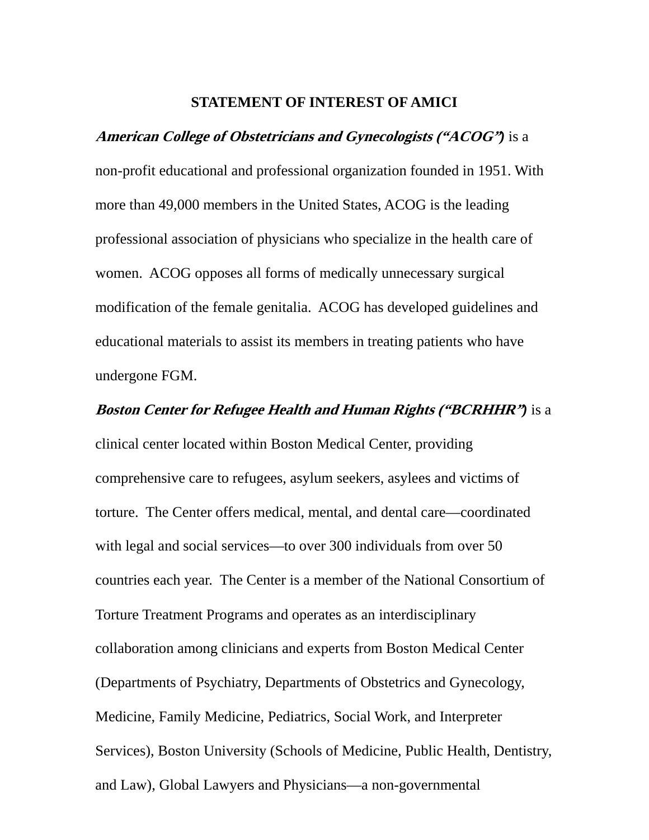#### **STATEMENT OF INTEREST OF AMICI**

# <span id="page-7-0"></span>**American College of Obstetricians and Gynecologists ("ACOG"***)* is a non-profit educational and professional organization founded in 1951. With more than 49,000 members in the United States, ACOG is the leading professional association of physicians who specialize in the health care of women. ACOG opposes all forms of medically unnecessary surgical modification of the female genitalia. ACOG has developed guidelines and educational materials to assist its members in treating patients who have undergone FGM.

# **Boston Center for Refugee Health and Human Rights ("BCRHHR"***)* is a clinical center located within Boston Medical Center, providing comprehensive care to refugees, asylum seekers, asylees and victims of torture. The Center offers medical, mental, and dental care—coordinated with legal and social services—to over 300 individuals from over 50 countries each year. The Center is a member of the National Consortium of Torture Treatment Programs and operates as an interdisciplinary collaboration among clinicians and experts from Boston Medical Center (Departments of Psychiatry, Departments of Obstetrics and Gynecology, Medicine, Family Medicine, Pediatrics, Social Work, and Interpreter Services), Boston University (Schools of Medicine, Public Health, Dentistry, and Law), Global Lawyers and Physicians—a non-governmental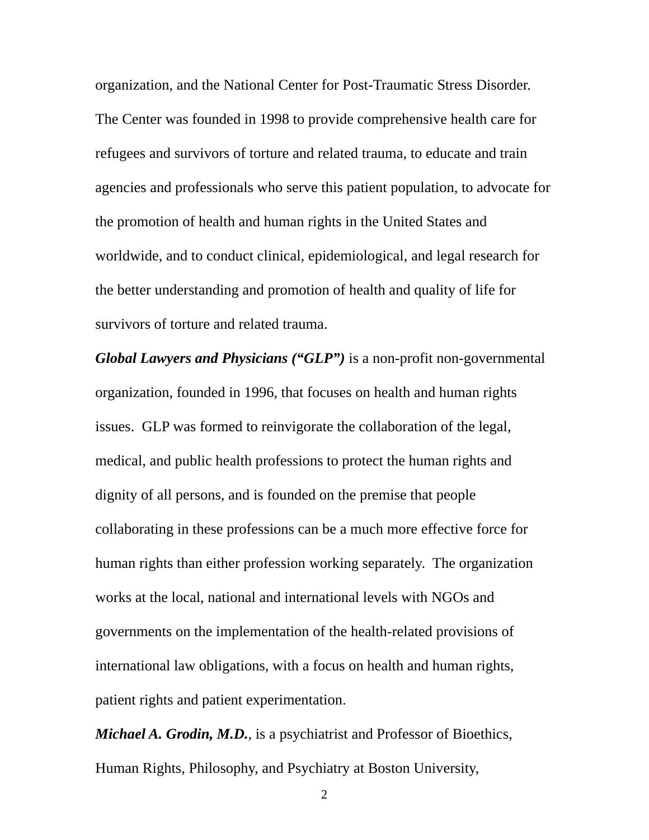organization, and the National Center for Post-Traumatic Stress Disorder. The Center was founded in 1998 to provide comprehensive health care for refugees and survivors of torture and related trauma, to educate and train agencies and professionals who serve this patient population, to advocate for the promotion of health and human rights in the United States and worldwide, and to conduct clinical, epidemiological, and legal research for the better understanding and promotion of health and quality of life for survivors of torture and related trauma.

*Global Lawyers and Physicians ("GLP")* is a non-profit non-governmental organization, founded in 1996, that focuses on health and human rights issues. GLP was formed to reinvigorate the collaboration of the legal, medical, and public health professions to protect the human rights and dignity of all persons, and is founded on the premise that people collaborating in these professions can be a much more effective force for human rights than either profession working separately. The organization works at the local, national and international levels with NGOs and governments on the implementation of the health-related provisions of international law obligations, with a focus on health and human rights, patient rights and patient experimentation.

*Michael A. Grodin, M.D.*, is a psychiatrist and Professor of Bioethics, Human Rights, Philosophy, and Psychiatry at Boston University,

2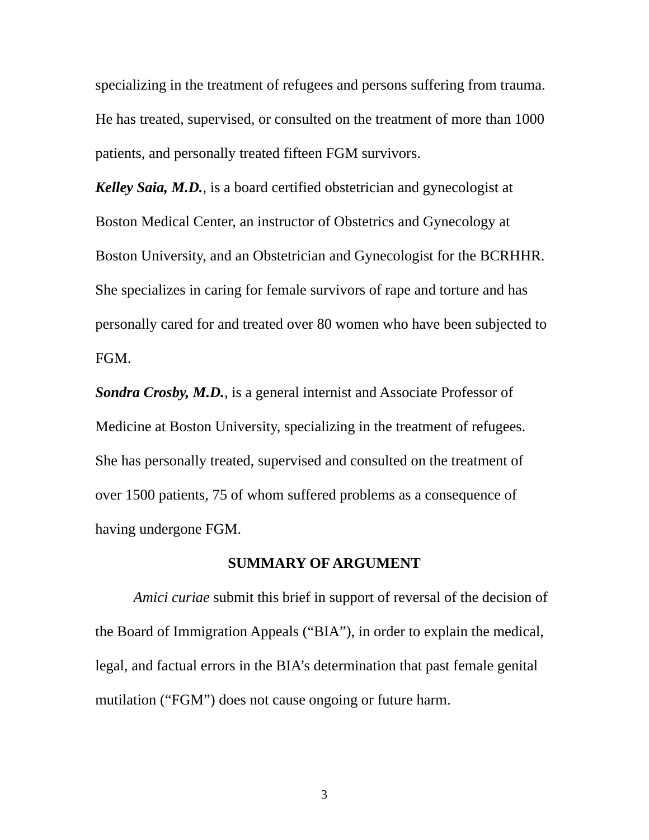<span id="page-9-0"></span>specializing in the treatment of refugees and persons suffering from trauma. He has treated, supervised, or consulted on the treatment of more than 1000 patients, and personally treated fifteen FGM survivors.

*Kelley Saia, M.D.*, is a board certified obstetrician and gynecologist at Boston Medical Center, an instructor of Obstetrics and Gynecology at Boston University, and an Obstetrician and Gynecologist for the BCRHHR. She specializes in caring for female survivors of rape and torture and has personally cared for and treated over 80 women who have been subjected to FGM.

*Sondra Crosby, M.D.*, is a general internist and Associate Professor of Medicine at Boston University, specializing in the treatment of refugees. She has personally treated, supervised and consulted on the treatment of over 1500 patients, 75 of whom suffered problems as a consequence of having undergone FGM.

#### **SUMMARY OF ARGUMENT**

*Amici curiae* submit this brief in support of reversal of the decision of the Board of Immigration Appeals ("BIA"), in order to explain the medical, legal, and factual errors in the BIA's determination that past female genital mutilation ("FGM") does not cause ongoing or future harm.

3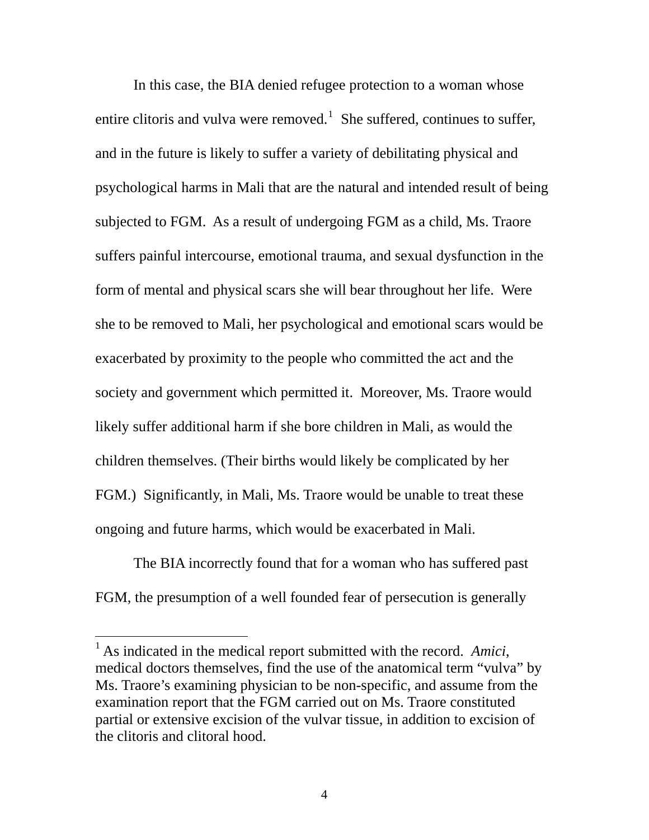In this case, the BIA denied refugee protection to a woman whose entire clitoris and vulva were removed.<sup>[1](#page-10-0)</sup> She suffered, continues to suffer, and in the future is likely to suffer a variety of debilitating physical and psychological harms in Mali that are the natural and intended result of being subjected to FGM. As a result of undergoing FGM as a child, Ms. Traore suffers painful intercourse, emotional trauma, and sexual dysfunction in the form of mental and physical scars she will bear throughout her life. Were she to be removed to Mali, her psychological and emotional scars would be exacerbated by proximity to the people who committed the act and the society and government which permitted it. Moreover, Ms. Traore would likely suffer additional harm if she bore children in Mali, as would the children themselves. (Their births would likely be complicated by her FGM.) Significantly, in Mali, Ms. Traore would be unable to treat these ongoing and future harms, which would be exacerbated in Mali.

 The BIA incorrectly found that for a woman who has suffered past FGM, the presumption of a well founded fear of persecution is generally

<span id="page-10-0"></span><sup>&</sup>lt;sup>1</sup> As indicated in the medical report submitted with the record. Amici, medical doctors themselves, find the use of the anatomical term "vulva" by Ms. Traore's examining physician to be non-specific, and assume from the examination report that the FGM carried out on Ms. Traore constituted partial or extensive excision of the vulvar tissue, in addition to excision of the clitoris and clitoral hood.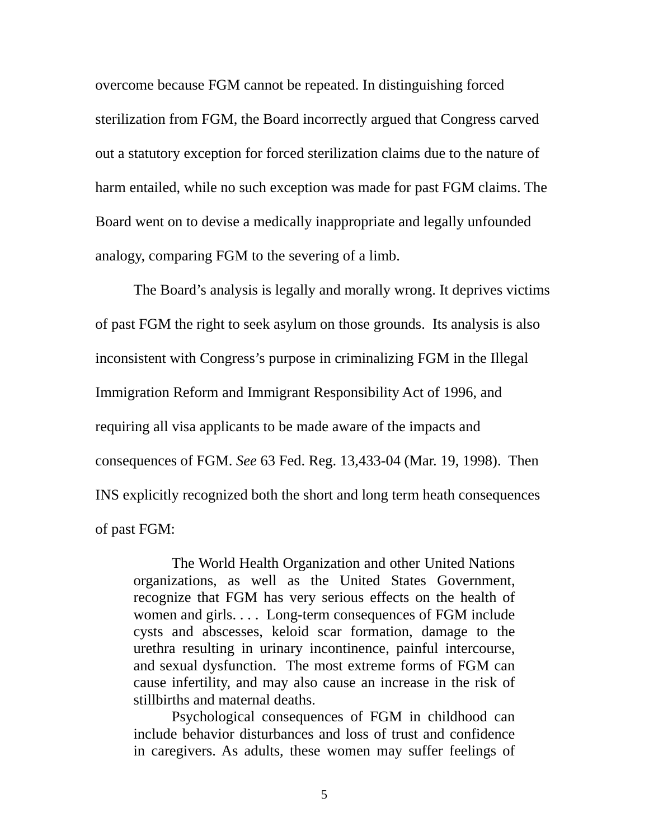overcome because FGM cannot be repeated. In distinguishing forced sterilization from FGM, the Board incorrectly argued that Congress carved out a statutory exception for forced sterilization claims due to the nature of harm entailed, while no such exception was made for past FGM claims. The Board went on to devise a medically inappropriate and legally unfounded analogy, comparing FGM to the severing of a limb.

 The Board's analysis is legally and morally wrong. It deprives victims of past FGM the right to seek asylum on those grounds. Its analysis is also inconsistent with Congress's purpose in criminalizing FGM in the Illegal Immigration Reform and Immigrant Responsibility Act of 1996, and requiring all visa applicants to be made aware of the impacts and consequences of FGM. *See* 63 Fed. Reg. 13,433-04 (Mar. 19, 1998). Then INS explicitly recognized both the short and long term heath consequences of past FGM:

 The World Health Organization and other United Nations organizations, as well as the United States Government, recognize that FGM has very serious effects on the health of women and girls. . . . Long-term consequences of FGM include cysts and abscesses, keloid scar formation, damage to the urethra resulting in urinary incontinence, painful intercourse, and sexual dysfunction. The most extreme forms of FGM can cause infertility, and may also cause an increase in the risk of stillbirths and maternal deaths.

 Psychological consequences of FGM in childhood can include behavior disturbances and loss of trust and confidence in caregivers. As adults, these women may suffer feelings of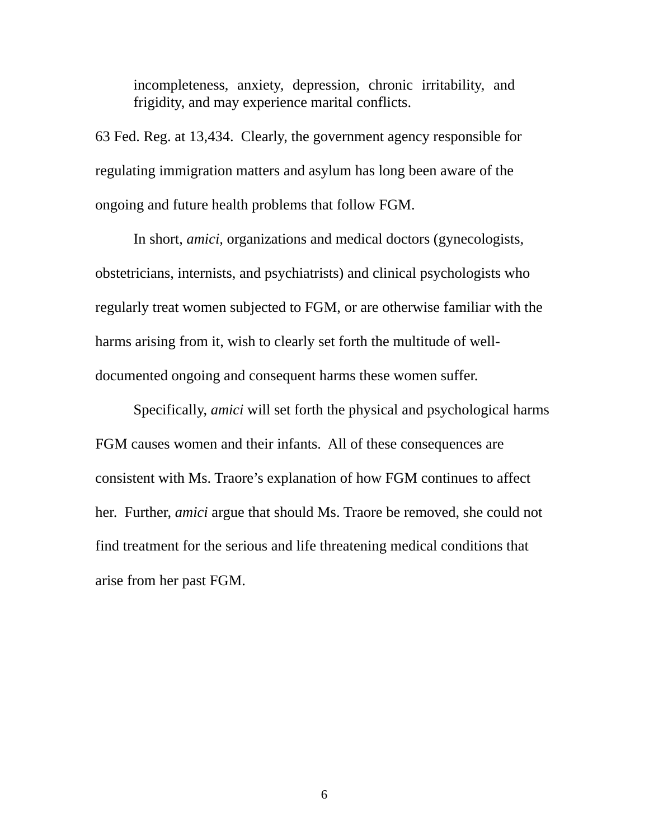incompleteness, anxiety, depression, chronic irritability, and frigidity, and may experience marital conflicts.

63 Fed. Reg. at 13,434. Clearly, the government agency responsible for regulating immigration matters and asylum has long been aware of the ongoing and future health problems that follow FGM.

 In short, *amici,* organizations and medical doctors (gynecologists, obstetricians, internists, and psychiatrists) and clinical psychologists who regularly treat women subjected to FGM, or are otherwise familiar with the harms arising from it, wish to clearly set forth the multitude of welldocumented ongoing and consequent harms these women suffer.

 Specifically, *amici* will set forth the physical and psychological harms FGM causes women and their infants. All of these consequences are consistent with Ms. Traore's explanation of how FGM continues to affect her. Further, *amici* argue that should Ms. Traore be removed, she could not find treatment for the serious and life threatening medical conditions that arise from her past FGM.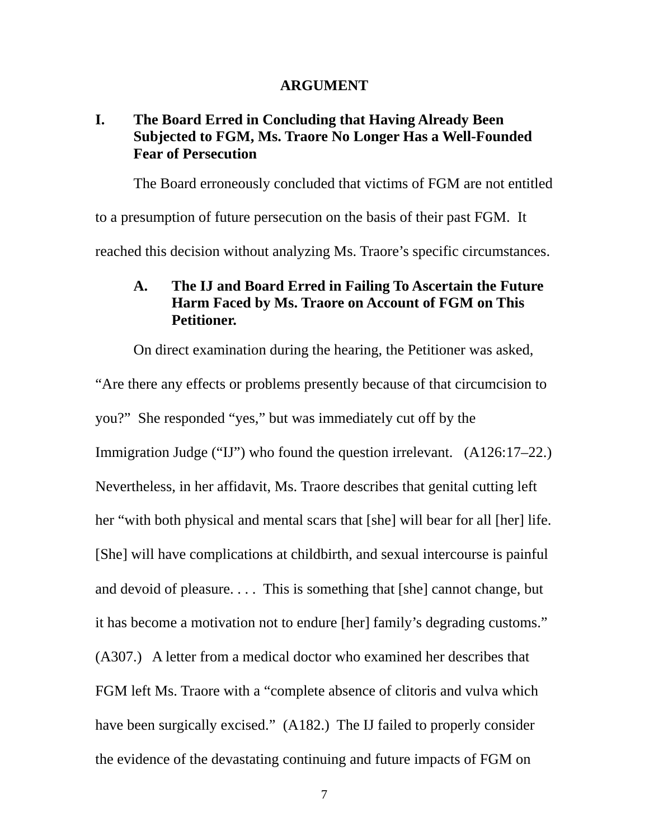#### **ARGUMENT**

# <span id="page-13-0"></span>**I. The Board Erred in Concluding that Having Already Been Subjected to FGM, Ms. Traore No Longer Has a Well-Founded Fear of Persecution**

The Board erroneously concluded that victims of FGM are not entitled

to a presumption of future persecution on the basis of their past FGM. It

reached this decision without analyzing Ms. Traore's specific circumstances.

# **A. The IJ and Board Erred in Failing To Ascertain the Future Harm Faced by Ms. Traore on Account of FGM on This Petitioner.**

 On direct examination during the hearing, the Petitioner was asked, "Are there any effects or problems presently because of that circumcision to you?" She responded "yes," but was immediately cut off by the Immigration Judge ("IJ") who found the question irrelevant. (A126:17–22.) Nevertheless, in her affidavit, Ms. Traore describes that genital cutting left her "with both physical and mental scars that [she] will bear for all [her] life. [She] will have complications at childbirth, and sexual intercourse is painful and devoid of pleasure. . . . This is something that [she] cannot change, but it has become a motivation not to endure [her] family's degrading customs." (A307.) A letter from a medical doctor who examined her describes that FGM left Ms. Traore with a "complete absence of clitoris and vulva which have been surgically excised." (A182.) The IJ failed to properly consider the evidence of the devastating continuing and future impacts of FGM on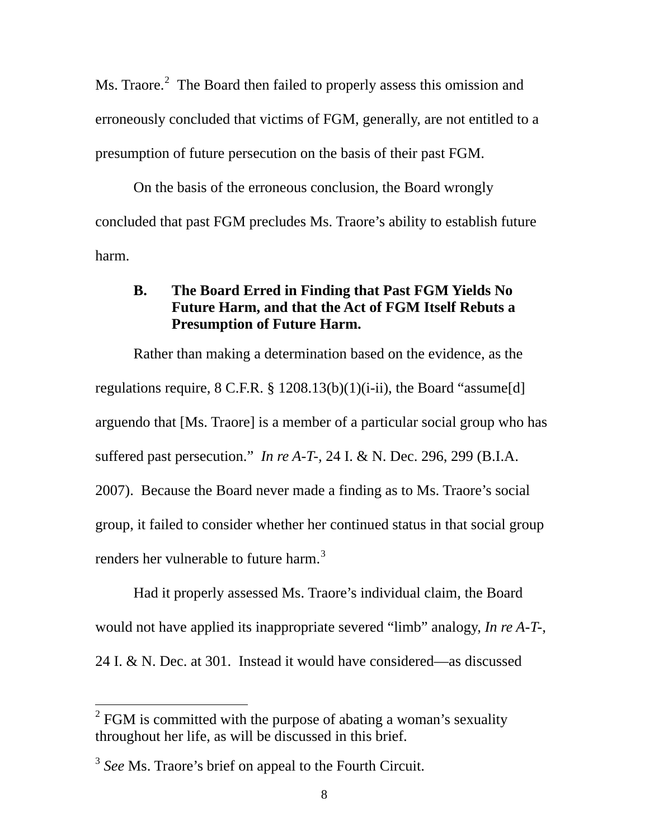<span id="page-14-0"></span>Ms. Traore.<sup>[2](#page-14-1)</sup> The Board then failed to properly assess this omission and erroneously concluded that victims of FGM, generally, are not entitled to a presumption of future persecution on the basis of their past FGM.

 On the basis of the erroneous conclusion, the Board wrongly concluded that past FGM precludes Ms. Traore's ability to establish future harm.

# **B. The Board Erred in Finding that Past FGM Yields No Future Harm, and that the Act of FGM Itself Rebuts a Presumption of Future Harm.**

 Rather than making a determination based on the evidence, as the regulations require,  $8 \text{ C.F.R. } \S 1208.13(b)(1)(i-ii)$ , the Board "assume[d] arguendo that [Ms. Traore] is a member of a particular social group who has suffered past persecution." *In re A-T-,* 24 I. & N. Dec. 296, 299 (B.I.A. 2007). Because the Board never made a finding as to Ms. Traore's social group, it failed to consider whether her continued status in that social group renders her vulnerable to future harm.<sup>[3](#page-14-2)</sup>

Had it properly assessed Ms. Traore's individual claim, the Board would not have applied its inappropriate severed "limb" analogy, *In re A-T-*, 24 I. & N. Dec. at 301. Instead it would have considered—as discussed

<span id="page-14-1"></span> $2^{2}$  FGM is committed with the purpose of abating a woman's sexuality throughout her life, as will be discussed in this brief.

<span id="page-14-2"></span><sup>&</sup>lt;sup>3</sup> See Ms. Traore's brief on appeal to the Fourth Circuit.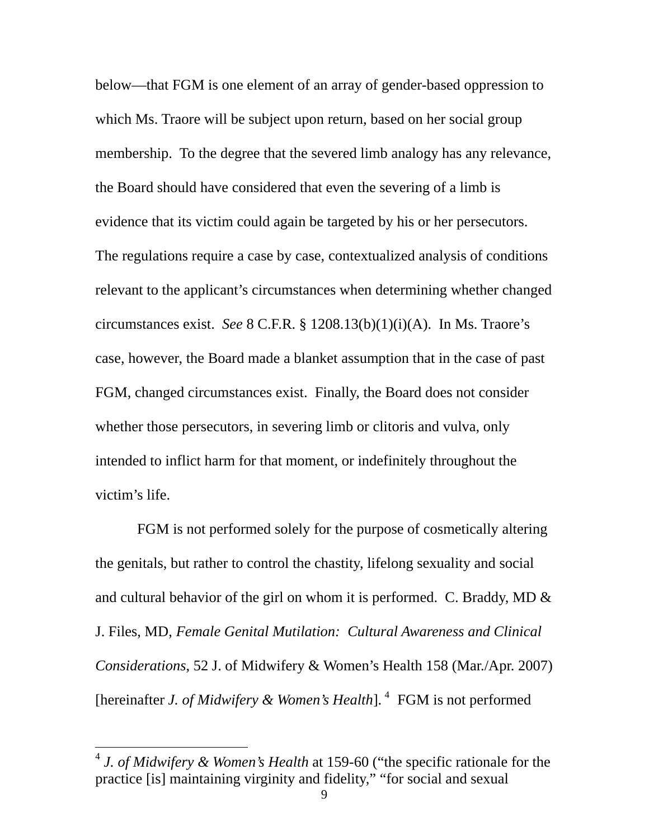below—that FGM is one element of an array of gender-based oppression to which Ms. Traore will be subject upon return, based on her social group membership. To the degree that the severed limb analogy has any relevance, the Board should have considered that even the severing of a limb is evidence that its victim could again be targeted by his or her persecutors. The regulations require a case by case, contextualized analysis of conditions relevant to the applicant's circumstances when determining whether changed circumstances exist. *See* 8 C.F.R. § 1208.13(b)(1)(i)(A). In Ms. Traore's case, however, the Board made a blanket assumption that in the case of past FGM, changed circumstances exist. Finally, the Board does not consider whether those persecutors, in severing limb or clitoris and vulva, only intended to inflict harm for that moment, or indefinitely throughout the victim's life.

 FGM is not performed solely for the purpose of cosmetically altering the genitals, but rather to control the chastity, lifelong sexuality and social and cultural behavior of the girl on whom it is performed. C. Braddy, MD  $\&$ J. Files, MD, *Female Genital Mutilation: Cultural Awareness and Clinical Considerations*, 52 J. of Midwifery & Women's Health 158 (Mar./Apr. 2007) [hereinafter *J. of Midwifery & Women's Health*].<sup>[4](#page-15-0)</sup> FGM is not performed

<span id="page-15-0"></span><sup>4</sup> *J. of Midwifery & Women's Health* at 159-60 ("the specific rationale for the practice [is] maintaining virginity and fidelity," "for social and sexual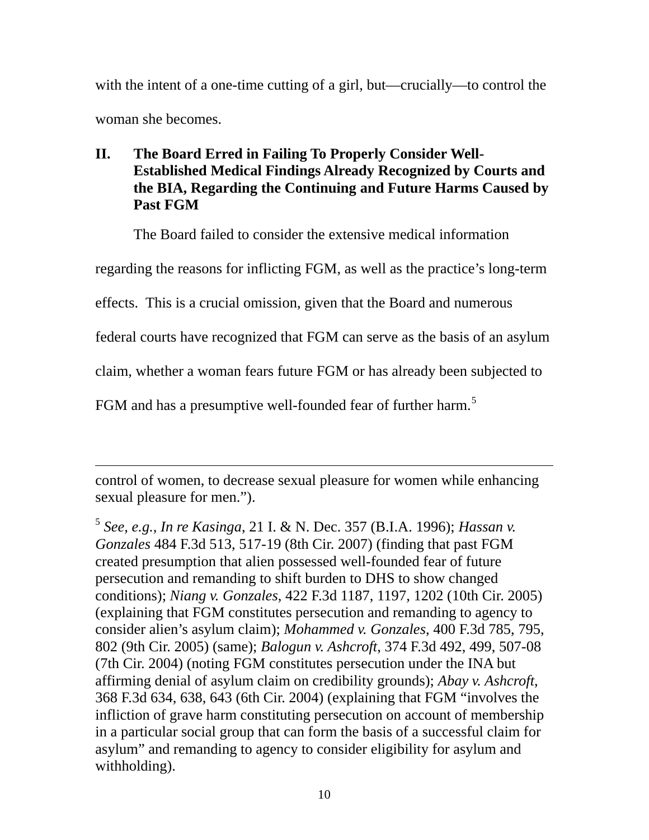<span id="page-16-0"></span>with the intent of a one-time cutting of a girl, but—crucially—to control the woman she becomes.

# **II. The Board Erred in Failing To Properly Consider Well-Established Medical Findings Already Recognized by Courts and the BIA, Regarding the Continuing and Future Harms Caused by Past FGM**

The Board failed to consider the extensive medical information

regarding the reasons for inflicting FGM, as well as the practice's long-term

effects. This is a crucial omission, given that the Board and numerous

federal courts have recognized that FGM can serve as the basis of an asylum

claim, whether a woman fears future FGM or has already been subjected to

FGM and has a presumptive well-founded fear of further harm.<sup>[5](#page-16-1)</sup>

 $\overline{a}$ control of women, to decrease sexual pleasure for women while enhancing sexual pleasure for men.").

<span id="page-16-1"></span><sup>5</sup> *See, e.g.*, *In re Kasinga*, 21 I. & N. Dec. 357 (B.I.A. 1996); *Hassan v. Gonzales* 484 F.3d 513, 517-19 (8th Cir. 2007) (finding that past FGM created presumption that alien possessed well-founded fear of future persecution and remanding to shift burden to DHS to show changed conditions); *Niang v. Gonzales*, 422 F.3d 1187, 1197, 1202 (10th Cir. 2005) (explaining that FGM constitutes persecution and remanding to agency to consider alien's asylum claim); *Mohammed v. Gonzales*, 400 F.3d 785, 795, 802 (9th Cir. 2005) (same); *Balogun v. Ashcroft*, 374 F.3d 492, 499, 507-08 (7th Cir. 2004) (noting FGM constitutes persecution under the INA but affirming denial of asylum claim on credibility grounds); *Abay v. Ashcroft*, 368 F.3d 634, 638, 643 (6th Cir. 2004) (explaining that FGM "involves the infliction of grave harm constituting persecution on account of membership in a particular social group that can form the basis of a successful claim for asylum" and remanding to agency to consider eligibility for asylum and withholding).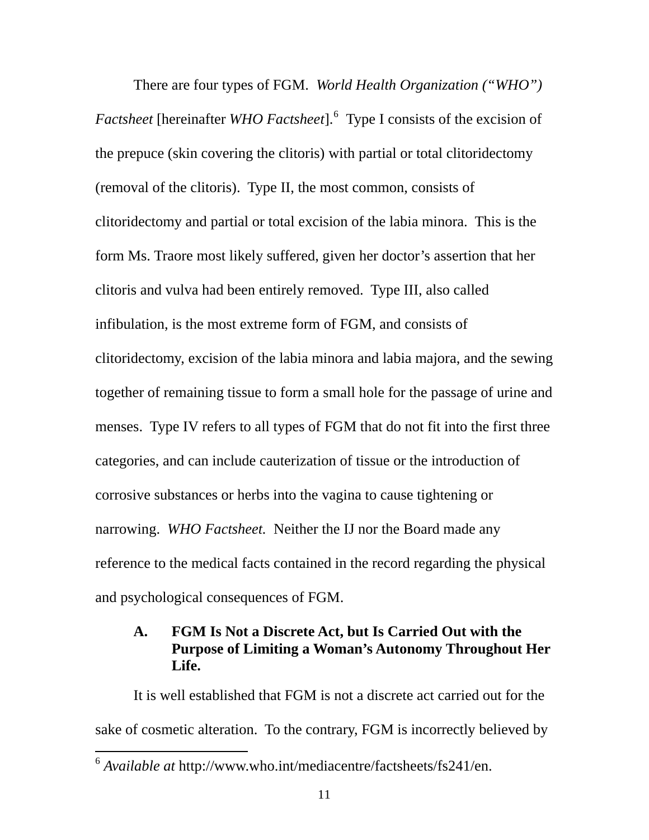<span id="page-17-0"></span> There are four types of FGM. *World Health Organization ("WHO")*  Factsheet [hereinafter WHO Factsheet].<sup>[6](#page-17-1)</sup> Type I consists of the excision of the prepuce (skin covering the clitoris) with partial or total clitoridectomy (removal of the clitoris). Type II, the most common, consists of clitoridectomy and partial or total excision of the labia minora. This is the form Ms. Traore most likely suffered, given her doctor's assertion that her clitoris and vulva had been entirely removed. Type III, also called infibulation, is the most extreme form of FGM, and consists of clitoridectomy, excision of the labia minora and labia majora, and the sewing together of remaining tissue to form a small hole for the passage of urine and menses. Type IV refers to all types of FGM that do not fit into the first three categories, and can include cauterization of tissue or the introduction of corrosive substances or herbs into the vagina to cause tightening or narrowing. *WHO Factsheet.* Neither the IJ nor the Board made any reference to the medical facts contained in the record regarding the physical and psychological consequences of FGM.

# **A. FGM Is Not a Discrete Act, but Is Carried Out with the Purpose of Limiting a Woman's Autonomy Throughout Her Life.**

 It is well established that FGM is not a discrete act carried out for the sake of cosmetic alteration. To the contrary, FGM is incorrectly believed by

<span id="page-17-1"></span><sup>6</sup> *Available at* http://www.who.int/mediacentre/factsheets/fs241/en.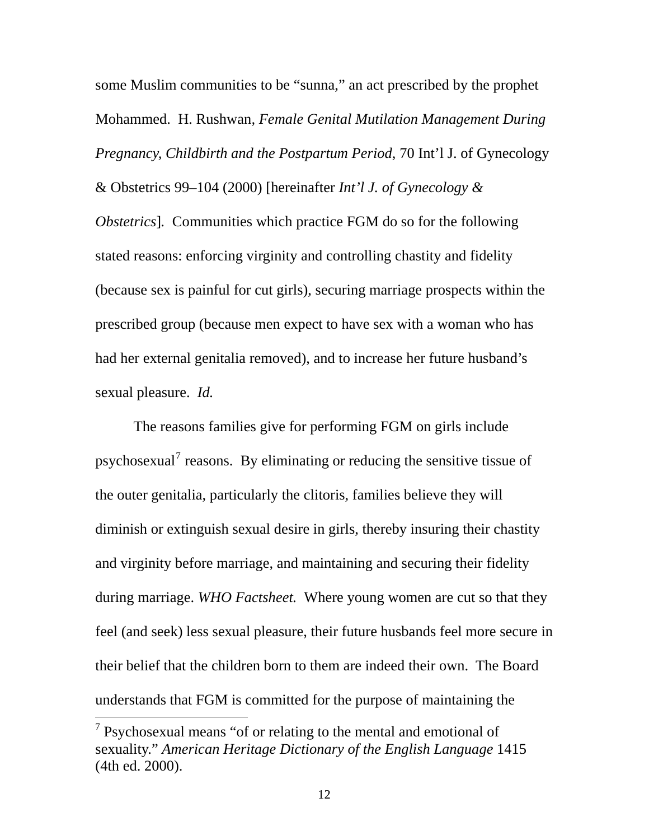some Muslim communities to be "sunna," an act prescribed by the prophet Mohammed. H. Rushwan*, Female Genital Mutilation Management During Pregnancy, Childbirth and the Postpartum Period,* 70 Int'l J. of Gynecology & Obstetrics 99–104 (2000) [hereinafter *Int'l J. of Gynecology & Obstetrics*]*.* Communities which practice FGM do so for the following stated reasons: enforcing virginity and controlling chastity and fidelity (because sex is painful for cut girls), securing marriage prospects within the prescribed group (because men expect to have sex with a woman who has had her external genitalia removed), and to increase her future husband's sexual pleasure. *Id.*

feel (and seek) less sexual pleasure, their future husbands feel more secure in The reasons families give for performing FGM on girls include psychosexual<sup>[7](#page-18-0)</sup> reasons. By eliminating or reducing the sensitive tissue of the outer genitalia, particularly the clitoris, families believe they will diminish or extinguish sexual desire in girls, thereby insuring their chastity and virginity before marriage, and maintaining and securing their fidelity during marriage. *WHO Factsheet.* Where young women are cut so that they their belief that the children born to them are indeed their own. The Board understands that FGM is committed for the purpose of maintaining the

<span id="page-18-0"></span> $7$  Psychosexual means "of or relating to the mental and emotional of sexuality." *American Heritage Dictionary of the English Language* 1415 (4th ed. 2000).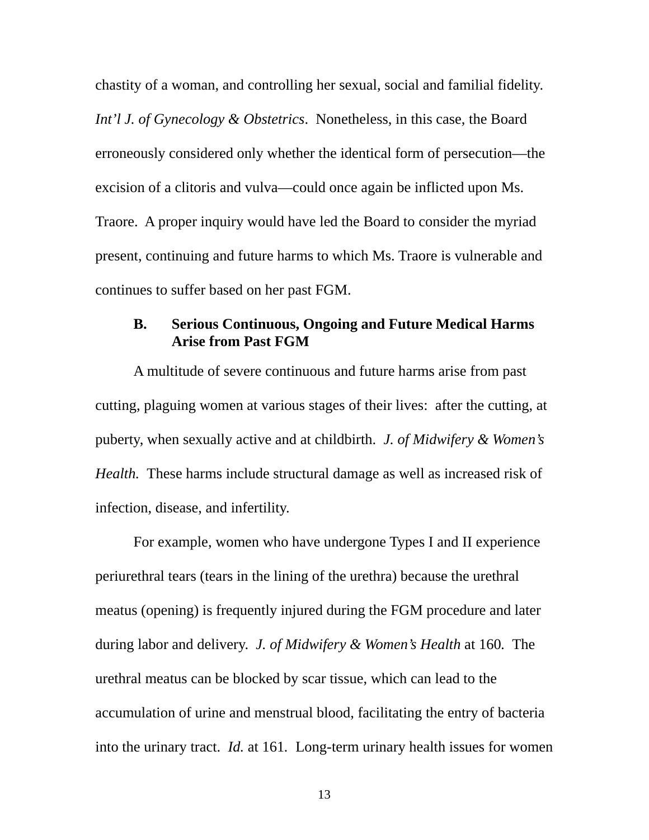<span id="page-19-0"></span>. chastity of a woman, and controlling her sexual, social and familial fidelity continues to suffer based on her past FGM. *Int'l J. of Gynecology & Obstetrics*. Nonetheless, in this case, the Board erroneously considered only whether the identical form of persecution—the excision of a clitoris and vulva—could once again be inflicted upon Ms. Traore. A proper inquiry would have led the Board to consider the myriad present, continuing and future harms to which Ms. Traore is vulnerable and

## **B. Serious Continuous, Ongoing and Future Medical Harms Arise from Past FGM**

 A multitude of severe continuous and future harms arise from past cutting, plaguing women at various stages of their lives: after the cutting, at puberty, when sexually active and at childbirth. *J. of Midwifery & Women's Health.* These harms include structural damage as well as increased risk of infection, disease, and infertility.

 For example, women who have undergone Types I and II experience periurethral tears (tears in the lining of the urethra) because the urethral meatus (opening) is frequently injured during the FGM procedure and later during labor and delivery. *J. of Midwifery & Women's Health* at 160*.* The urethral meatus can be blocked by scar tissue, which can lead to the accumulation of urine and menstrual blood, facilitating the entry of bacteria into the urinary tract. *Id.* at 161*.* Long-term urinary health issues for women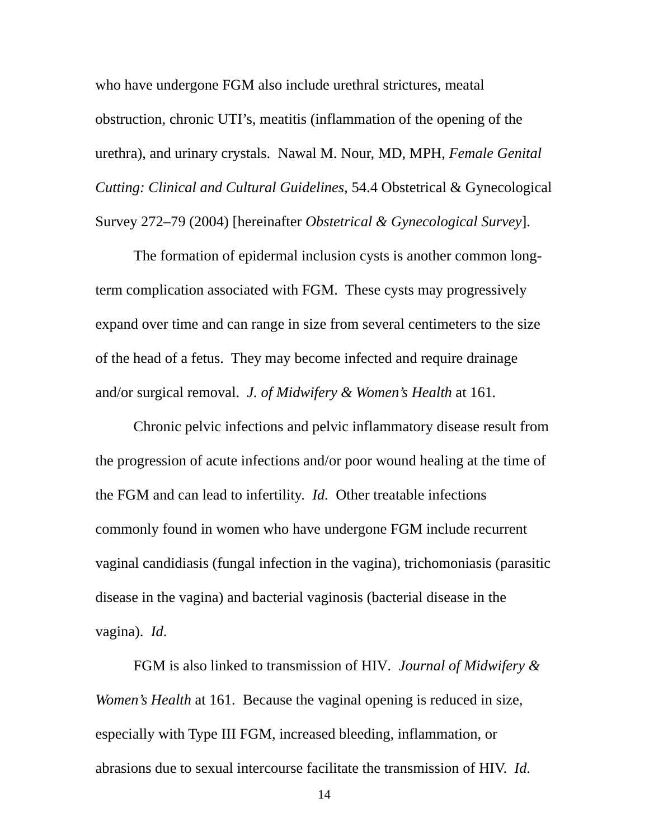who have undergone FGM also include urethral strictures, meatal obstruction, chronic UTI's, meatitis (inflammation of the opening of the urethra), and urinary crystals. Nawal M. Nour, MD, MPH, *Female Genital Cutting: Clinical and Cultural Guidelines,* 54.4 Obstetrical & Gynecological Survey 272–79 (2004) [hereinafter *Obstetrical & Gynecological Survey*].

 The formation of epidermal inclusion cysts is another common longterm complication associated with FGM. These cysts may progressively expand over time and can range in size from several centimeters to the size of the head of a fetus. They may become infected and require drainage and/or surgical removal. *J. of Midwifery & Women's Health* at 161*.* 

Chronic pelvic infections and pelvic inflammatory disease result from the progression of acute infections and/or poor wound healing at the time of the FGM and can lead to infertility. *Id.* Other treatable infections commonly found in women who have undergone FGM include recurrent vaginal candidiasis (fungal infection in the vagina), trichomoniasis (parasitic disease in the vagina) and bacterial vaginosis (bacterial disease in the vagina). *Id*.

 FGM is also linked to transmission of HIV*. Journal of Midwifery & Women's Health* at 161. Because the vaginal opening is reduced in size, especially with Type III FGM, increased bleeding, inflammation, or abrasions due to sexual intercourse facilitate the transmission of HIV. *Id.*

14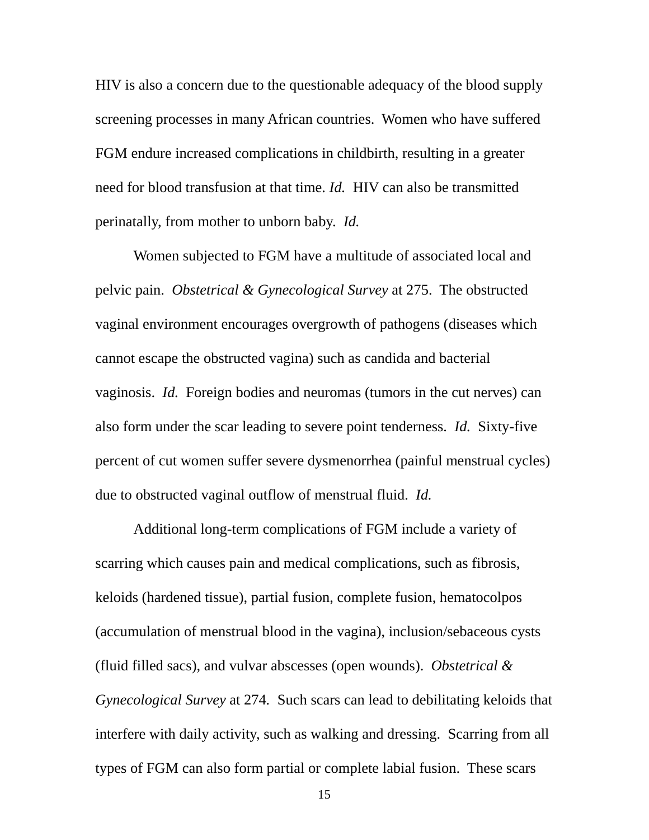HIV is also a concern due to the questionable adequacy of the blood supply screening processes in many African countries. Women who have suffered FGM endure increased complications in childbirth, resulting in a greater need for blood transfusion at that time. *Id.* HIV can also be transmitted perinatally, from mother to unborn baby. *Id.* 

 Women subjected to FGM have a multitude of associated local and pelvic pain. *Obstetrical & Gynecological Survey* at 275. The obstructed vaginal environment encourages overgrowth of pathogens (diseases which cannot escape the obstructed vagina) such as candida and bacterial vaginosis. *Id.* Foreign bodies and neuromas (tumors in the cut nerves) can also form under the scar leading to severe point tenderness. *Id.* Sixty-five percent of cut women suffer severe dysmenorrhea (painful menstrual cycles) due to obstructed vaginal outflow of menstrual fluid. *Id.*

 Additional long-term complications of FGM include a variety of scarring which causes pain and medical complications, such as fibrosis, keloids (hardened tissue), partial fusion, complete fusion, hematocolpos (accumulation of menstrual blood in the vagina), inclusion/sebaceous cysts (fluid filled sacs), and vulvar abscesses (open wounds). *Obstetrical & Gynecological Survey* at 274*.* Such scars can lead to debilitating keloids that interfere with daily activity, such as walking and dressing. Scarring from all types of FGM can also form partial or complete labial fusion. These scars

15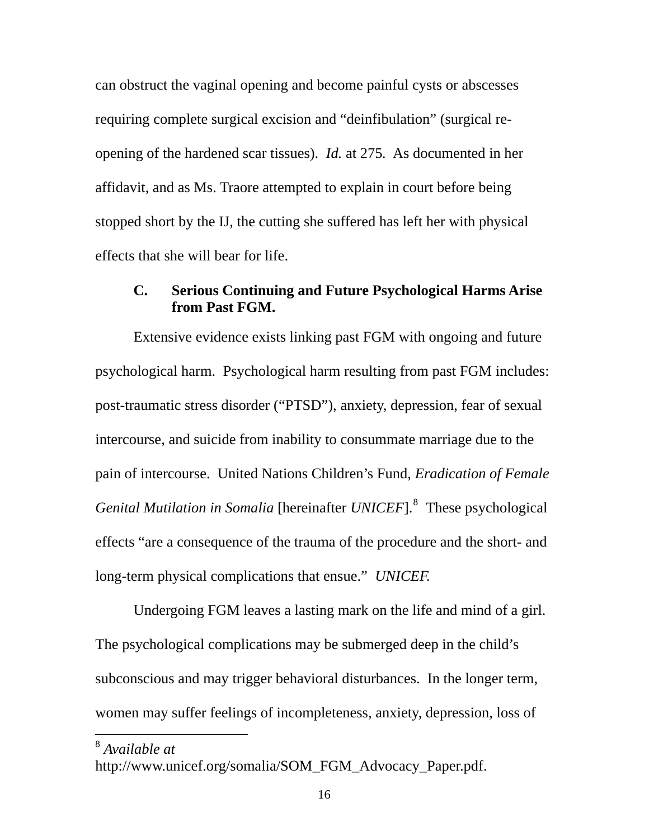<span id="page-22-0"></span>can obstruct the vaginal opening and become painful cysts or abscesses requiring complete surgical excision and "deinfibulation" (surgical reopening of the hardened scar tissues). *Id.* at 275*.* As documented in her affidavit, and as Ms. Traore attempted to explain in court before being stopped short by the IJ, the cutting she suffered has left her with physical effects that she will bear for life.

## **C. Serious Continuing and Future Psychological Harms Arise from Past FGM.**

 Extensive evidence exists linking past FGM with ongoing and future psychological harm. Psychological harm resulting from past FGM includes: post-traumatic stress disorder ("PTSD"), anxiety, depression, fear of sexual intercourse, and suicide from inability to consummate marriage due to the pain of intercourse. United Nations Children's Fund, *Eradication of Female Genital Mutilation in Somalia* [hereinafter *UNICEF*].<sup>[8](#page-22-1)</sup> These psychological effects "are a consequence of the trauma of the procedure and the short- and long-term physical complications that ensue." *UNICEF.*

 Undergoing FGM leaves a lasting mark on the life and mind of a girl. The psychological complications may be submerged deep in the child's subconscious and may trigger behavioral disturbances. In the longer term, women may suffer feelings of incompleteness, anxiety, depression, loss of

<span id="page-22-1"></span><sup>8</sup> *Available at*

http://www.unicef.org/somalia/SOM\_FGM\_Advocacy\_Paper.pdf.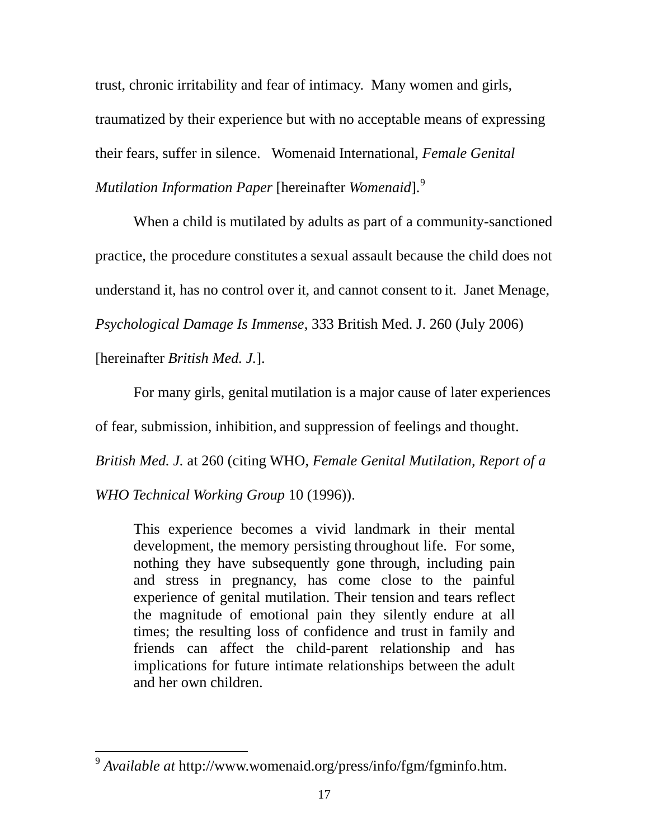trust, chronic irritability and fear of intimacy. Many women and girls, traumatized by their experience but with no acceptable means of expressing their fears, suffer in silence. Womenaid International, *Female Genital Mutilation Information Paper* [hereinafter *Womenaid*].[9](#page-23-0)

 When a child is mutilated by adults as part of a community-sanctioned practice, the procedure constitutes a sexual assault because the child does not understand it, has no control over it, and cannot consent to it. Janet Menage, *Psychological Damage Is Immense*, 333 British Med. J. 260 (July 2006) [hereinafter *British Med. J.*].

 For many girls, genital mutilation is a major cause of later experiences of fear, submission, inhibition, and suppression of feelings and thought. *British Med. J.* at 260 (citing WHO, *Female Genital Mutilation, Report of a WHO Technical Working Group* 10 (1996)).

This experience becomes a vivid landmark in their mental development, the memory persisting throughout life. For some, nothing they have subsequently gone through, including pain and stress in pregnancy, has come close to the painful experience of genital mutilation. Their tension and tears reflect the magnitude of emotional pain they silently endure at all times; the resulting loss of confidence and trust in family and friends can affect the child-parent relationship and has implications for future intimate relationships between the adult and her own children.

<span id="page-23-0"></span> $\overline{a}$ <sup>9</sup> *Available at* <http://www.womenaid.org/press/info/fgm/fgminfo.htm>.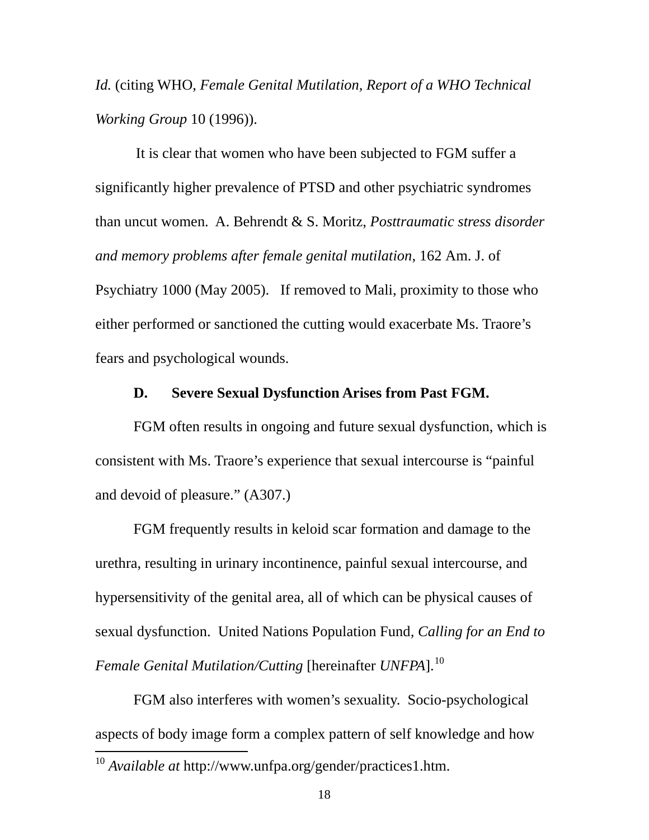<span id="page-24-0"></span>*Id.* (citing WHO, *Female Genital Mutilation, Report of a WHO Technical Working Group* 10 (1996)).

 It is clear that women who have been subjected to FGM suffer a significantly higher prevalence of PTSD and other psychiatric syndromes than uncut women. A. Behrendt & S. Moritz, *Posttraumatic stress disorder and memory problems after female genital mutilation*, 162 Am. J. of Psychiatry 1000 (May 2005). If removed to Mali, proximity to those who either performed or sanctioned the cutting would exacerbate Ms. Traore's fears and psychological wounds.

#### **D. Severe Sexual Dysfunction Arises from Past FGM.**

 FGM often results in ongoing and future sexual dysfunction, which is consistent with Ms. Traore's experience that sexual intercourse is "painful and devoid of pleasure." (A307.)

 FGM frequently results in keloid scar formation and damage to the urethra, resulting in urinary incontinence, painful sexual intercourse, and hypersensitivity of the genital area, all of which can be physical causes of sexual dysfunction. United Nations Population Fund*, Calling for an End to Female Genital Mutilation/Cutting [hereinafter UNFPA].*<sup>[10](#page-24-1)</sup>

<span id="page-24-1"></span> $\overline{a}$  FGM also interferes with women's sexuality. Socio-psychological aspects of body image form a complex pattern of self knowledge and how <sup>10</sup> *Available at* <http://www.unfpa.org/gender/practices1.htm>.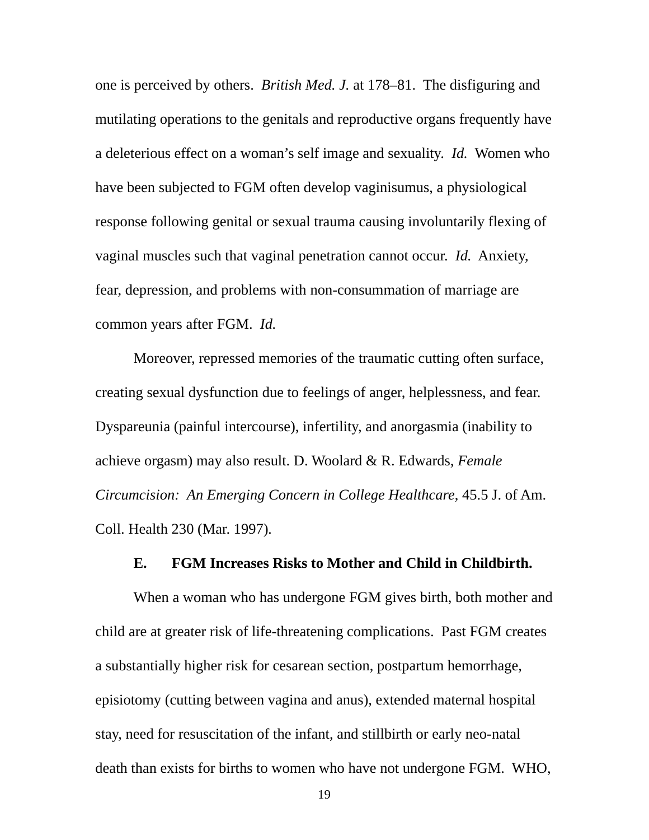<span id="page-25-0"></span>one is perceived by others. *British Med. J.* at 178–81. The disfiguring and mutilating operations to the genitals and reproductive organs frequently have a deleterious effect on a woman's self image and sexuality. *Id.* Women who have been subjected to FGM often develop vaginisumus, a physiological response following genital or sexual trauma causing involuntarily flexing of vaginal muscles such that vaginal penetration cannot occur. *Id.* Anxiety, fear, depression, and problems with non-consummation of marriage are common years after FGM. *Id.*

 Moreover, repressed memories of the traumatic cutting often surface, creating sexual dysfunction due to feelings of anger, helplessness, and fear. Dyspareunia (painful intercourse), infertility, and anorgasmia (inability to achieve orgasm) may also result. D. Woolard & R. Edwards, *Female Circumcision: An Emerging Concern in College Healthcare*, 45.5 J. of Am. Coll. Health 230 (Mar. 1997)*.* 

#### **E. FGM Increases Risks to Mother and Child in Childbirth.**

 When a woman who has undergone FGM gives birth, both mother and child are at greater risk of life-threatening complications. Past FGM creates a substantially higher risk for cesarean section, postpartum hemorrhage, episiotomy (cutting between vagina and anus), extended maternal hospital stay, need for resuscitation of the infant, and stillbirth or early neo-natal death than exists for births to women who have not undergone FGM. WHO,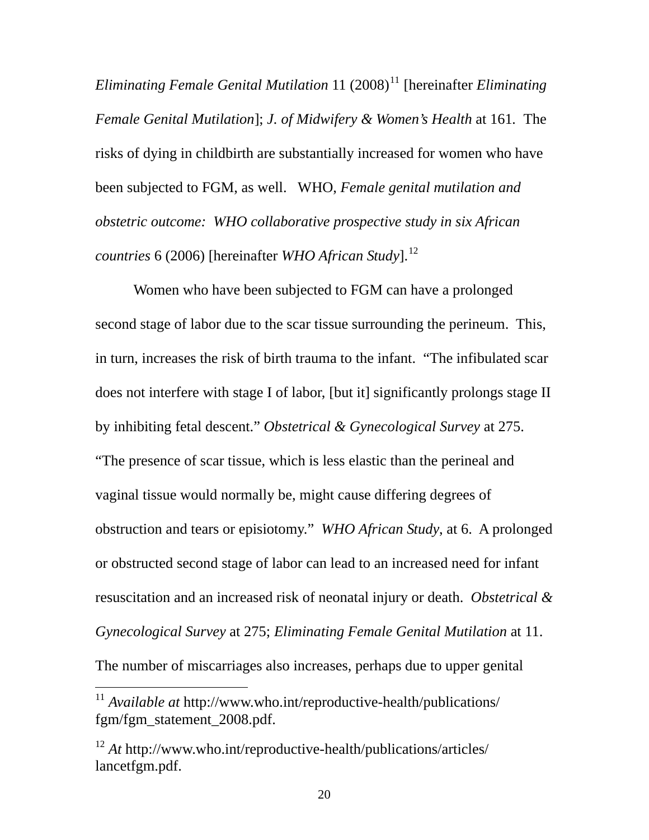*Eliminating Female Genital Mutilation* [11](#page-26-0) (2008)<sup>11</sup> [hereinafter *Eliminating Female Genital Mutilation*]; *J. of Midwifery & Women's Health* at 161*.* The risks of dying in childbirth are substantially increased for women who have been subjected to FGM, as well. WHO, *Female genital mutilation and obstetric outcome: WHO collaborative prospective study in six African countries* 6 (2006) [hereinafter *WHO African Study*].<sup>[12](#page-26-1)</sup>

Women who have been subjected to FGM can have a prolonged second stage of labor due to the scar tissue surrounding the perineum. This, in turn, increases the risk of birth trauma to the infant. "The infibulated scar does not interfere with stage I of labor, [but it] significantly prolongs stage II by inhibiting fetal descent." *Obstetrical & Gynecological Survey* at 275. "The presence of scar tissue, which is less elastic than the perineal and vaginal tissue would normally be, might cause differing degrees of obstruction and tears or episiotomy." *WHO African Study*, at 6. A prolonged or obstructed second stage of labor can lead to an increased need for infant resuscitation and an increased risk of neonatal injury or death. *Obstetrical & Gynecological Survey* at 275; *Eliminating Female Genital Mutilation* at 11. The number of miscarriages also increases, perhaps due to upper genital

<span id="page-26-0"></span><sup>11</sup> *Available at* http://www.who.int/reproductive-health/publications/ fgm/fgm\_statement\_2008.pdf.

<span id="page-26-1"></span><sup>12</sup> *At* http://www.who.int/reproductive-health/publications/articles/ lancetfgm.pdf.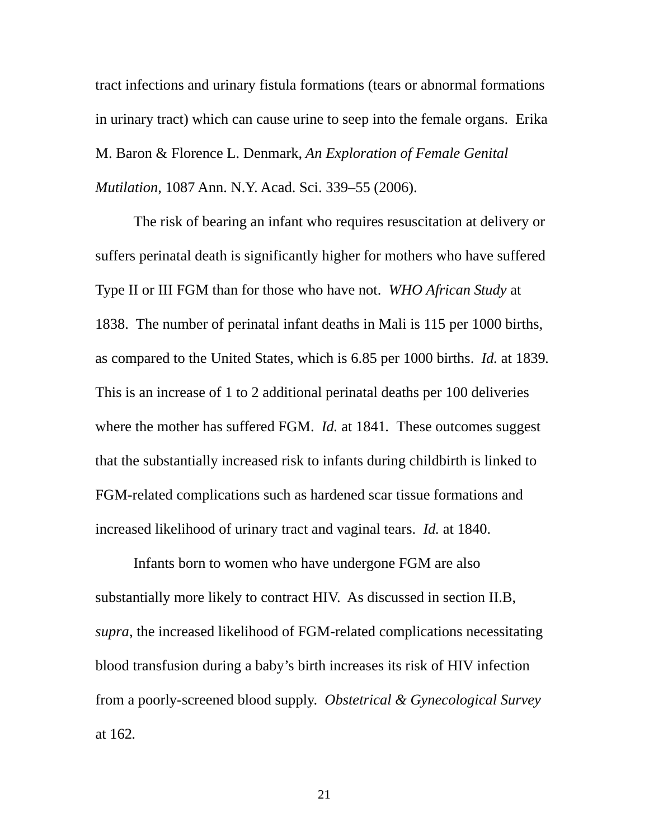tract infections and urinary fistula formations (tears or abnormal formations in urinary tract) which can cause urine to seep into the female organs. Erika M. Baron & Florence L. Denmark, *An Exploration of Female Genital Mutilation,* 1087 Ann. N.Y. Acad. Sci. 339–55 (2006).

 The risk of bearing an infant who requires resuscitation at delivery or suffers perinatal death is significantly higher for mothers who have suffered Type II or III FGM than for those who have not. *WHO African Study* at 1838. The number of perinatal infant deaths in Mali is 115 per 1000 births, as compared to the United States, which is 6.85 per 1000 births. *Id.* at 1839*.* This is an increase of 1 to 2 additional perinatal deaths per 100 deliveries where the mother has suffered FGM. *Id.* at 1841*.* These outcomes suggest that the substantially increased risk to infants during childbirth is linked to FGM-related complications such as hardened scar tissue formations and increased likelihood of urinary tract and vaginal tears. *Id.* at 1840.

 Infants born to women who have undergone FGM are also substantially more likely to contract HIV. As discussed in section II.B, *supra*, the increased likelihood of FGM-related complications necessitating blood transfusion during a baby's birth increases its risk of HIV infection from a poorly-screened blood supply. *Obstetrical & Gynecological Survey*  at 162*.*

21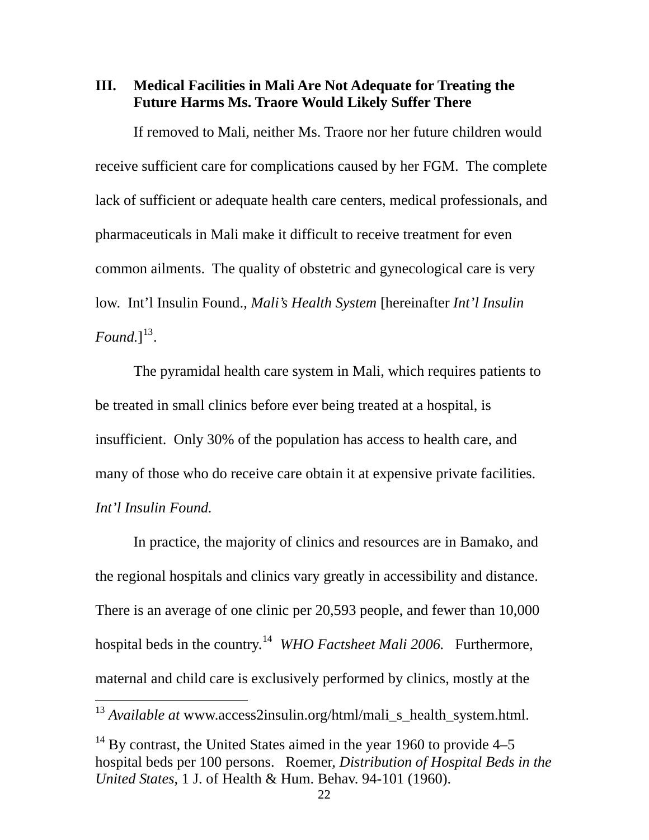<span id="page-28-0"></span>**III. Medical Facilities in Mali Are Not Adequate for Treating the Future Harms Ms. Traore Would Likely Suffer There** 

If removed to Mali, neither Ms. Traore nor her future children would receive sufficient care for complications caused by her FGM. The complete lack of sufficient or adequate health care centers, medical professionals, and pharmaceuticals in Mali make it difficult to receive treatment for even common ailments. The quality of obstetric and gynecological care is very low. Int'l Insulin Found., *Mali's Health System* [hereinafter *Int'l Insulin*   $Found.]^{13}.$  $Found.]^{13}.$  $Found.]^{13}.$ 

 The pyramidal health care system in Mali, which requires patients to be treated in small clinics before ever being treated at a hospital, is insufficient. Only 30% of the population has access to health care, and many of those who do receive care obtain it at expensive private facilities. *Int'l Insulin Found.* 

 In practice, the majority of clinics and resources are in Bamako, and the regional hospitals and clinics vary greatly in accessibility and distance. There is an average of one clinic per 20,593 people, and fewer than 10,000 hospital beds in the country.<sup>[14](#page-28-2)</sup> *WHO Factsheet Mali 2006*. Furthermore, maternal and child care is exclusively performed by clinics, mostly at the

<span id="page-28-1"></span><sup>13</sup> *Available at* [www.access2insulin.org/html/mali\\_s\\_health\\_system.html.](http://www.access2insulin.org/html/mali_s_health_system.html)

<span id="page-28-2"></span> $14$  By contrast, the United States aimed in the year 1960 to provide 4–5 hospital beds per 100 persons. Roemer, *Distribution of Hospital Beds in the United States*, 1 J. of Health & Hum. Behav. 94-101 (1960).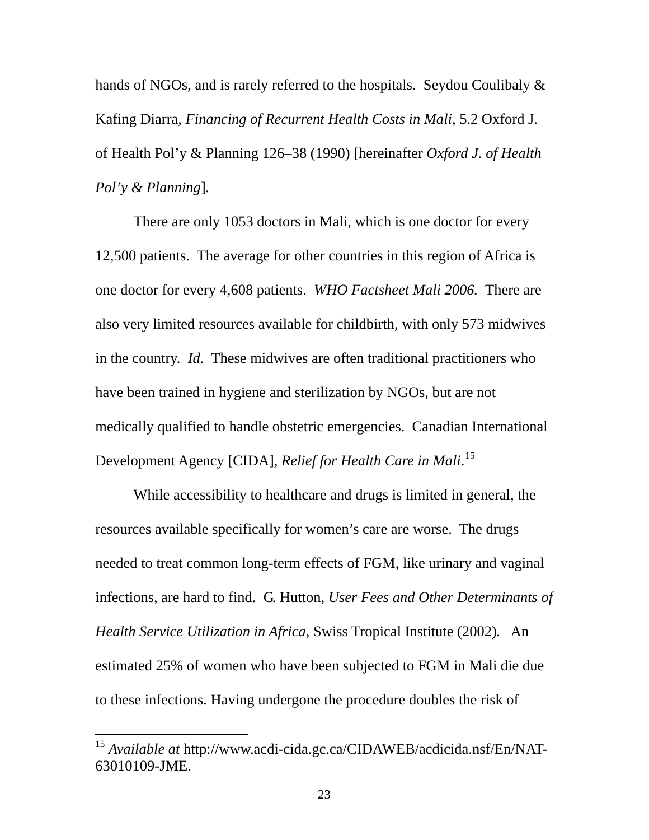hands of NGOs, and is rarely referred to the hospitals. Seydou Coulibaly  $\&$ Kafing Diarra, *Financing of Recurrent Health Costs in Mali*, 5.2 Oxford J. of Health Pol'y & Planning 126–38 (1990) [hereinafter *Oxford J. of Health Pol'y & Planning*]*.* 

 There are only 1053 doctors in Mali, which is one doctor for every 12,500 patients. The average for other countries in this region of Africa is one doctor for every 4,608 patients. *WHO Factsheet Mali 2006.* There are also very limited resources available for childbirth, with only 573 midwives in the country. *Id.* These midwives are often traditional practitioners who have been trained in hygiene and sterilization by NGOs, but are not medically qualified to handle obstetric emergencies. Canadian International Development Agency [CIDA]*, Relief for Health Care in Mali*. [15](#page-29-0)

While accessibility to healthcare and drugs is limited in general, the resources available specifically for women's care are worse. The drugs needed to treat common long-term effects of FGM, like urinary and vaginal infections, are hard to find. G. Hutton, *User Fees and Other Determinants of Health Service Utilization in Africa*, Swiss Tropical Institute (2002)*.* An estimated 25% of women who have been subjected to FGM in Mali die due to these infections. Having undergone the procedure doubles the risk of

<span id="page-29-0"></span><sup>15</sup> *Available at* [http://www.acdi-cida.gc.ca/CIDAWEB/acdicida.nsf/En/NAT-](http://www.acdi-cida.gc.ca/CIDAWEB/acdicida.nsf/En/NAT-63010109-JME)[63010109-JME](http://www.acdi-cida.gc.ca/CIDAWEB/acdicida.nsf/En/NAT-63010109-JME).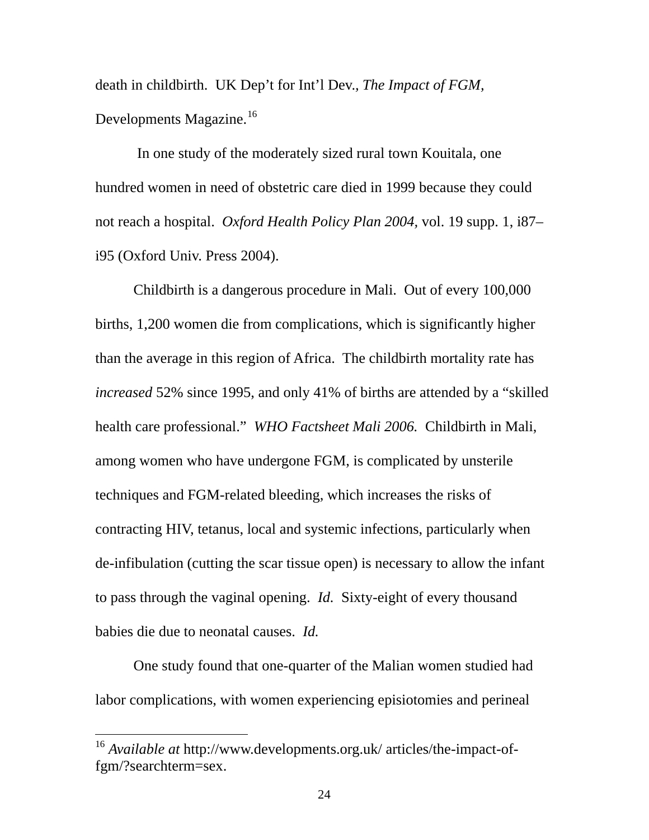death in childbirth. UK Dep't for Int'l Dev.*, The Impact of FGM,*  Developments Magazine.<sup>[16](#page-30-0)</sup>

 In one study of the moderately sized rural town Kouitala, one hundred women in need of obstetric care died in 1999 because they could not reach a hospital. *Oxford Health Policy Plan 2004,* vol. 19 supp. 1, i87– i95 (Oxford Univ. Press 2004).

Childbirth is a dangerous procedure in Mali. Out of every 100,000 births, 1,200 women die from complications, which is significantly higher than the average in this region of Africa. The childbirth mortality rate has *increased* 52% since 1995, and only 41% of births are attended by a "skilled health care professional." *WHO Factsheet Mali 2006.* Childbirth in Mali, among women who have undergone FGM, is complicated by unsterile techniques and FGM-related bleeding, which increases the risks of contracting HIV, tetanus, local and systemic infections, particularly when de-infibulation (cutting the scar tissue open) is necessary to allow the infant to pass through the vaginal opening. *Id.* Sixty-eight of every thousand babies die due to neonatal causes. *Id.* 

 One study found that one-quarter of the Malian women studied had labor complications, with women experiencing episiotomies and perineal

<span id="page-30-0"></span><sup>16</sup> *Available at* [http://www.developments.org.uk/ articles/the-](http://www.developments.org.uk/articles/the)impact-offgm/?searchterm=sex.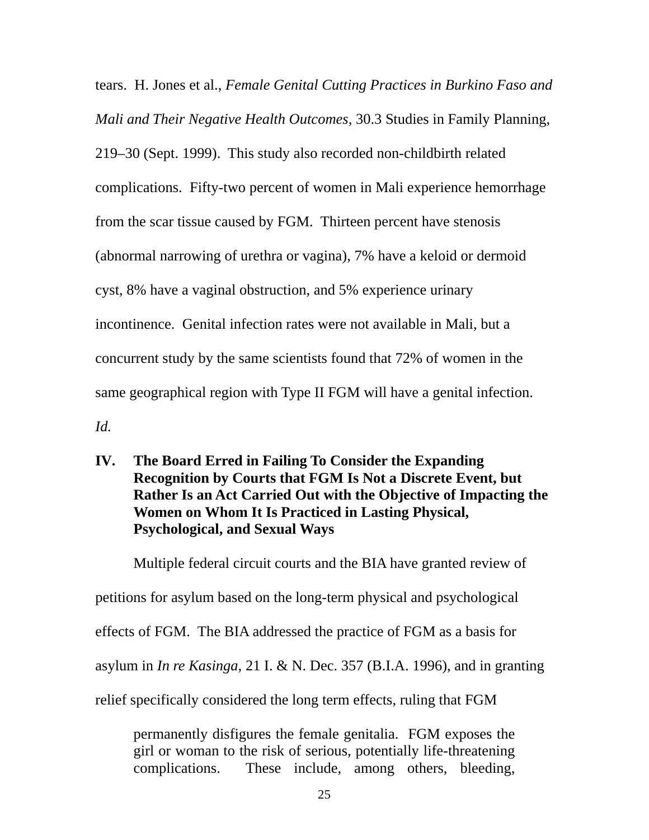<span id="page-31-0"></span>tears. H. Jones et al., *Female Genital Cutting Practices in Burkino Faso and Mali and Their Negative Health Outcomes,* 30.3 Studies in Family Planning, 219–30 (Sept. 1999). This study also recorded non-childbirth related complications. Fifty-two percent of women in Mali experience hemorrhage from the scar tissue caused by FGM. Thirteen percent have stenosis (abnormal narrowing of urethra or vagina), 7% have a keloid or dermoid cyst, 8% have a vaginal obstruction, and 5% experience urinary incontinence. Genital infection rates were not available in Mali, but a concurrent study by the same scientists found that 72% of women in the same geographical region with Type II FGM will have a genital infection. *Id.* 

**IV. The Board Erred in Failing To Consider the Expanding Recognition by Courts that FGM Is Not a Discrete Event, but Rather Is an Act Carried Out with the Objective of Impacting the Women on Whom It Is Practiced in Lasting Physical, Psychological, and Sexual Ways** 

 Multiple federal circuit courts and the BIA have granted review of petitions for asylum based on the long-term physical and psychological effects of FGM. The BIA addressed the practice of FGM as a basis for asylum in *In re Kasinga,* 21 I. & N. Dec. 357 (B.I.A. 1996), and in granting relief specifically considered the long term effects, ruling that FGM

permanently disfigures the female genitalia. FGM exposes the girl or woman to the risk of serious, potentially life-threatening complications. These include, among others, bleeding,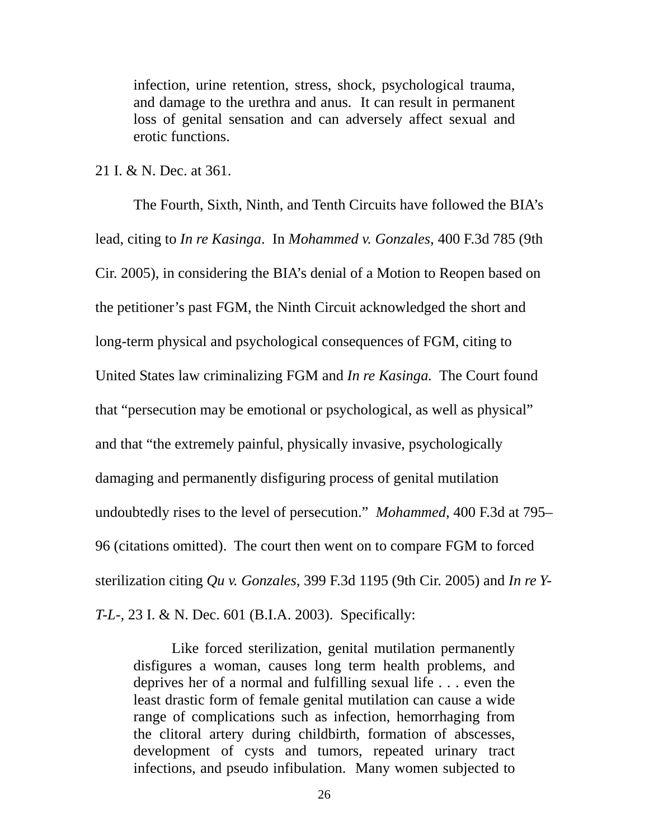infection, urine retention, stress, shock, psychological trauma, and damage to the urethra and anus. It can result in permanent loss of genital sensation and can adversely affect sexual and erotic functions.

21 I. & N. Dec. at 361.

 The Fourth, Sixth, Ninth, and Tenth Circuits have followed the BIA's lead, citing to *In re Kasinga*. In *Mohammed v. Gonzales,* 400 F.3d 785 (9th Cir. 2005), in considering the BIA's denial of a Motion to Reopen based on the petitioner's past FGM, the Ninth Circuit acknowledged the short and long-term physical and psychological consequences of FGM, citing to United States law criminalizing FGM and *In re Kasinga.* The Court found that "persecution may be emotional or psychological, as well as physical" and that "the extremely painful, physically invasive, psychologically damaging and permanently disfiguring process of genital mutilation undoubtedly rises to the level of persecution." *Mohammed,* 400 F.3d at 795– 96 (citations omitted). The court then went on to compare FGM to forced sterilization citing *Qu v. Gonzales,* 399 F.3d 1195 (9th Cir. 2005) and *In re Y-T-L-,* 23 I. & N. Dec. 601 (B.I.A. 2003). Specifically:

 Like forced sterilization, genital mutilation permanently disfigures a woman, causes long term health problems, and deprives her of a normal and fulfilling sexual life . . . even the least drastic form of female genital mutilation can cause a wide range of complications such as infection, hemorrhaging from the clitoral artery during childbirth, formation of abscesses, development of cysts and tumors, repeated urinary tract infections, and pseudo infibulation. Many women subjected to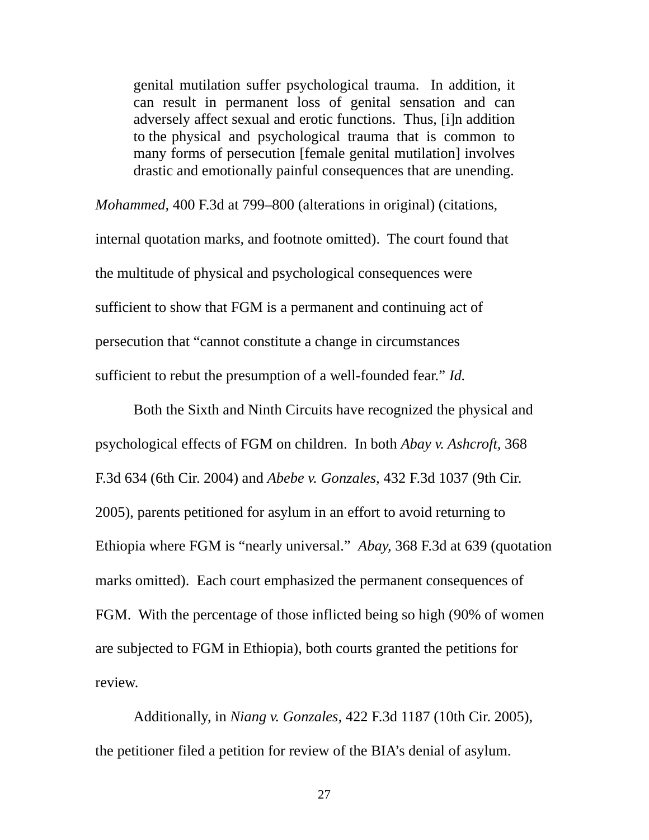genital mutilation suffer psychological trauma. In addition, it can result in permanent loss of genital sensation and can adversely affect sexual and erotic functions. Thus, [i]n addition to the physical and psychological trauma that is common to many forms of persecution [female genital mutilation] involves drastic and emotionally painful consequences that are unending.

*Mohammed,* 400 F.3d at 799–800 (alterations in original) (citations, internal quotation marks, and footnote omitted). The court found that the multitude of physical and psychological consequences were sufficient to show that FGM is a permanent and continuing act of persecution that "cannot constitute a change in circumstances sufficient to rebut the presumption of a well-founded fear." *Id.*

Both the Sixth and Ninth Circuits have recognized the physical and psychological effects of FGM on children. In both *Abay v. Ashcroft,* 368 F.3d 634 (6th Cir. 2004) and *Abebe v. Gonzales,* 432 F.3d 1037 (9th Cir. 2005), parents petitioned for asylum in an effort to avoid returning to Ethiopia where FGM is "nearly universal." *Abay,* 368 F.3d at 639 (quotation marks omitted). Each court emphasized the permanent consequences of FGM. With the percentage of those inflicted being so high (90% of women are subjected to FGM in Ethiopia), both courts granted the petitions for review.

Additionally, in *Niang v. Gonzales,* 422 F.3d 1187 (10th Cir. 2005), the petitioner filed a petition for review of the BIA's denial of asylum.

27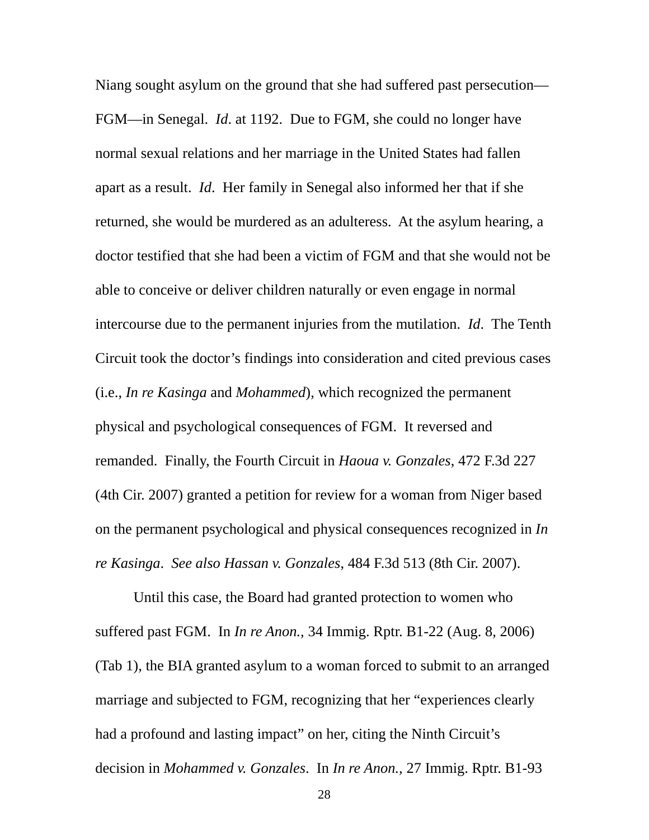Niang sought asylum on the ground that she had suffered past persecution— FGM—in Senegal. *Id*. at 1192. Due to FGM, she could no longer have normal sexual relations and her marriage in the United States had fallen apart as a result. *Id*. Her family in Senegal also informed her that if she returned, she would be murdered as an adulteress. At the asylum hearing, a doctor testified that she had been a victim of FGM and that she would not be able to conceive or deliver children naturally or even engage in normal intercourse due to the permanent injuries from the mutilation. *Id*. The Tenth Circuit took the doctor's findings into consideration and cited previous cases (i.e., *In re Kasinga* and *Mohammed*), which recognized the permanent physical and psychological consequences of FGM. It reversed and remanded. Finally, the Fourth Circuit in *Haoua v. Gonzales*, 472 F.3d 227 (4th Cir. 2007) granted a petition for review for a woman from Niger based on the permanent psychological and physical consequences recognized in *In re Kasinga*. *See also Hassan v. Gonzales*, 484 F.3d 513 (8th Cir. 2007).

 Until this case*,* the Board had granted protection to women who suffered past FGM. In *In re Anon.,* 34 Immig. Rptr. B1-22 (Aug. 8, 2006) (Tab 1), the BIA granted asylum to a woman forced to submit to an arranged marriage and subjected to FGM, recognizing that her "experiences clearly had a profound and lasting impact" on her, citing the Ninth Circuit's decision in *Mohammed v. Gonzales*.In *In re Anon.,* 27 Immig. Rptr. B1-93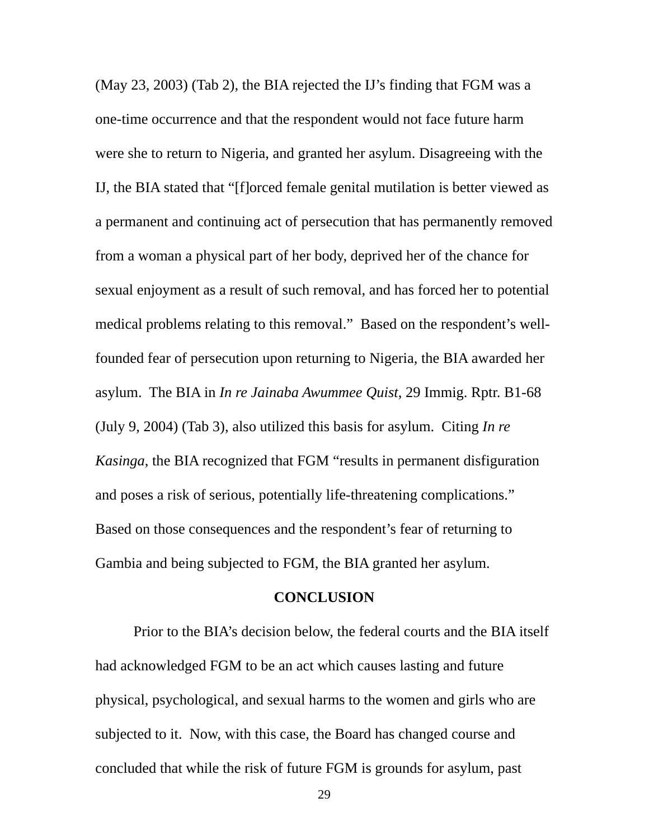<span id="page-35-0"></span>(May 23, 2003) (Tab 2), the BIA rejected the IJ's finding that FGM was a one-time occurrence and that the respondent would not face future harm were she to return to Nigeria, and granted her asylum. Disagreeing with the IJ, the BIA stated that "[f]orced female genital mutilation is better viewed as a permanent and continuing act of persecution that has permanently removed from a woman a physical part of her body, deprived her of the chance for sexual enjoyment as a result of such removal, and has forced her to potential medical problems relating to this removal." Based on the respondent's wellfounded fear of persecution upon returning to Nigeria, the BIA awarded her asylum. The BIA in *In re Jainaba Awummee Quist*, 29 Immig. Rptr. B1-68 (July 9, 2004) (Tab 3), also utilized this basis for asylum. Citing *In re Kasinga*, the BIA recognized that FGM "results in permanent disfiguration and poses a risk of serious, potentially life-threatening complications." Based on those consequences and the respondent's fear of returning to Gambia and being subjected to FGM, the BIA granted her asylum.

#### **CONCLUSION**

 Prior to the BIA's decision below, the federal courts and the BIA itself had acknowledged FGM to be an act which causes lasting and future physical, psychological, and sexual harms to the women and girls who are subjected to it. Now, with this case, the Board has changed course and concluded that while the risk of future FGM is grounds for asylum, past

29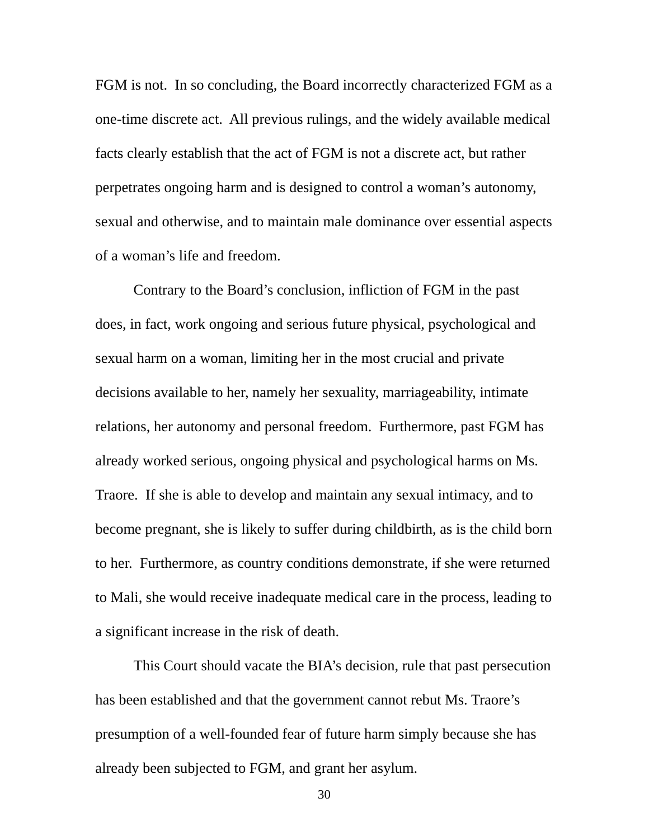FGM is not. In so concluding, the Board incorrectly characterized FGM as a one-time discrete act. All previous rulings, and the widely available medical facts clearly establish that the act of FGM is not a discrete act, but rather perpetrates ongoing harm and is designed to control a woman's autonomy, sexual and otherwise, and to maintain male dominance over essential aspects of a woman's life and freedom.

 Contrary to the Board's conclusion, infliction of FGM in the past does, in fact, work ongoing and serious future physical, psychological and sexual harm on a woman, limiting her in the most crucial and private decisions available to her, namely her sexuality, marriageability, intimate relations, her autonomy and personal freedom. Furthermore, past FGM has already worked serious, ongoing physical and psychological harms on Ms. Traore. If she is able to develop and maintain any sexual intimacy, and to become pregnant, she is likely to suffer during childbirth, as is the child born to her. Furthermore, as country conditions demonstrate, if she were returned to Mali, she would receive inadequate medical care in the process, leading to a significant increase in the risk of death.

 This Court should vacate the BIA's decision, rule that past persecution has been established and that the government cannot rebut Ms. Traore's presumption of a well-founded fear of future harm simply because she has already been subjected to FGM, and grant her asylum.

30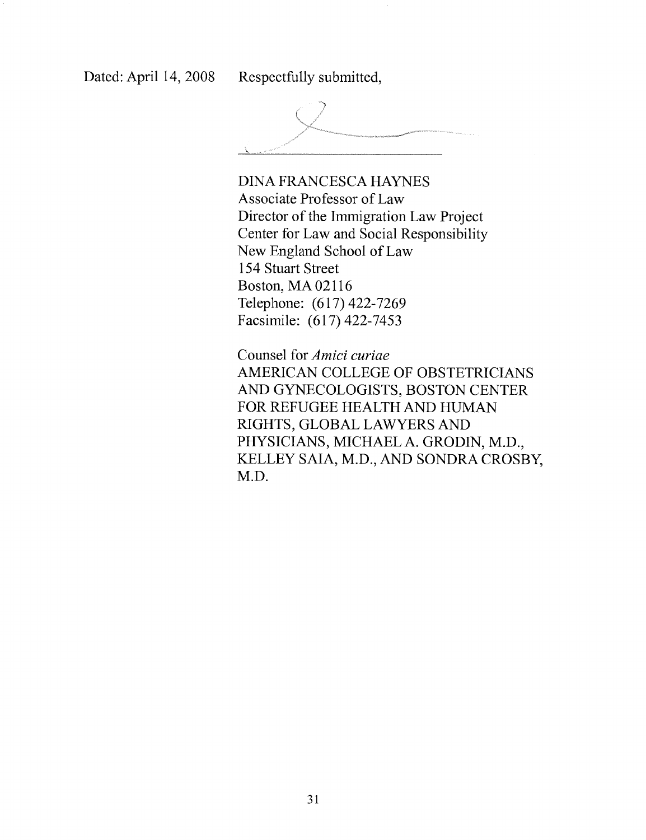Dated: April 14, 2008

Respectfully submitted,



**DINA FRANCESCA HAYNES** Associate Professor of Law Director of the Immigration Law Project Center for Law and Social Responsibility New England School of Law 154 Stuart Street **Boston, MA 02116** Telephone: (617) 422-7269 Facsimile: (617) 422-7453

Counsel for Amici curiae AMERICAN COLLEGE OF OBSTETRICIANS AND GYNECOLOGISTS, BOSTON CENTER FOR REFUGEE HEALTH AND HUMAN RIGHTS, GLOBAL LAWYERS AND PHYSICIANS, MICHAEL A. GRODIN, M.D., KELLEY SAIA, M.D., AND SONDRA CROSBY, M.D.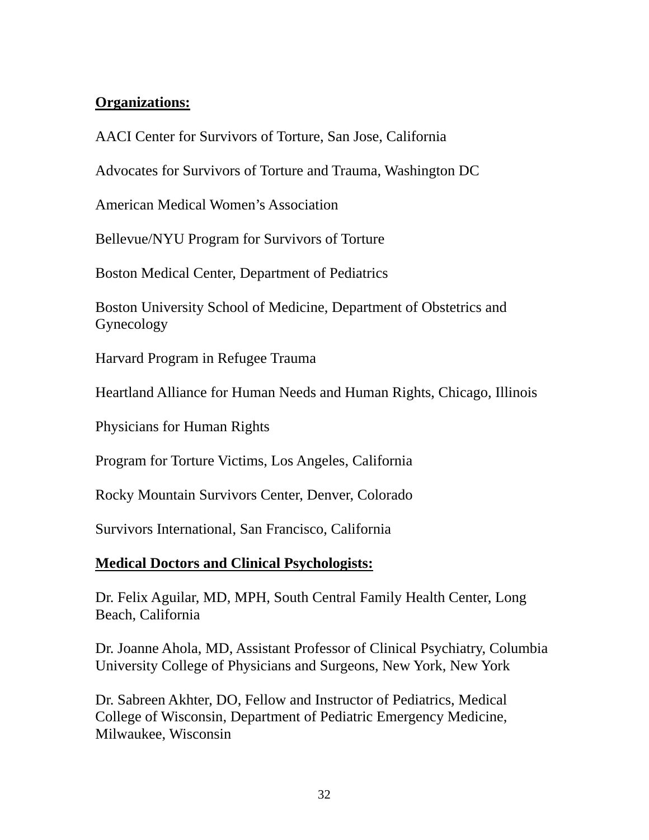# **Organizations:**

AACI Center for Survivors of Torture, San Jose, California

Advocates for Survivors of Torture and Trauma, Washington DC

American Medical Women's Association

Bellevue/NYU Program for Survivors of Torture

Boston Medical Center, Department of Pediatrics

Boston University School of Medicine, Department of Obstetrics and Gynecology

Harvard Program in Refugee Trauma

Heartland Alliance for Human Needs and Human Rights, Chicago, Illinois

Physicians for Human Rights

Program for Torture Victims, Los Angeles, California

Rocky Mountain Survivors Center, Denver, Colorado

Survivors International, San Francisco, California

# **Medical Doctors and Clinical Psychologists:**

Dr. Felix Aguilar, MD, MPH, South Central Family Health Center, Long Beach, California

Dr. Joanne Ahola, MD, Assistant Professor of Clinical Psychiatry, Columbia University College of Physicians and Surgeons, New York, New York

Dr. Sabreen Akhter, DO, Fellow and Instructor of Pediatrics, Medical College of Wisconsin, Department of Pediatric Emergency Medicine, Milwaukee, Wisconsin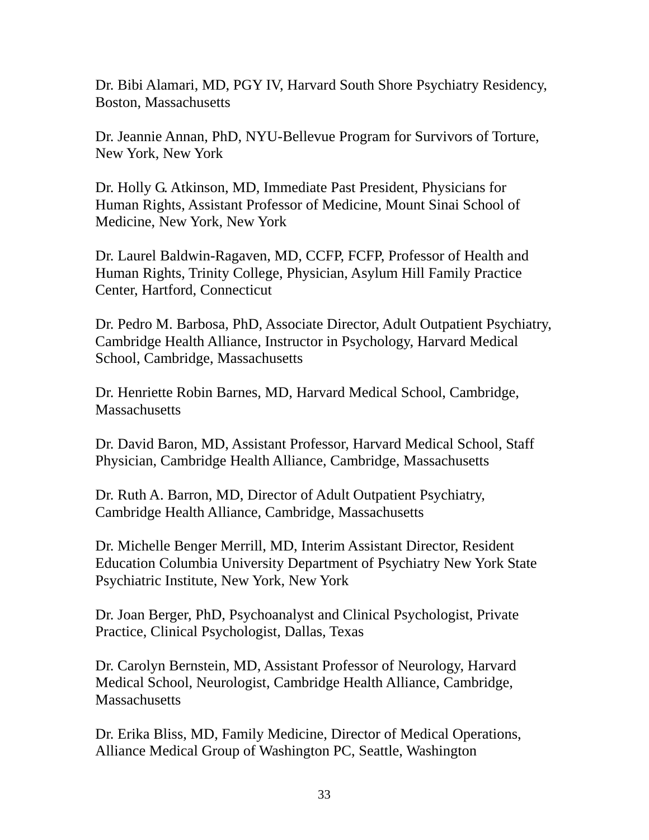Dr. Bibi Alamari, MD, PGY IV, Harvard South Shore Psychiatry Residency, Boston, Massachusetts

Dr. Jeannie Annan, PhD, NYU-Bellevue Program for Survivors of Torture, New York, New York

Dr. Holly G. Atkinson, MD, Immediate Past President, Physicians for Human Rights, Assistant Professor of Medicine, Mount Sinai School of Medicine, New York, New York

Dr. Laurel Baldwin-Ragaven, MD, CCFP, FCFP, Professor of Health and Human Rights, Trinity College, Physician, Asylum Hill Family Practice Center, Hartford, Connecticut

Dr. Pedro M. Barbosa, PhD, Associate Director, Adult Outpatient Psychiatry, Cambridge Health Alliance, Instructor in Psychology, Harvard Medical School, Cambridge, Massachusetts

Dr. Henriette Robin Barnes, MD, Harvard Medical School, Cambridge, **Massachusetts** 

Dr. David Baron, MD, Assistant Professor, Harvard Medical School, Staff Physician, Cambridge Health Alliance, Cambridge, Massachusetts

Dr. Ruth A. Barron, MD, Director of Adult Outpatient Psychiatry, Cambridge Health Alliance, Cambridge, Massachusetts

Dr. Michelle Benger Merrill, MD, Interim Assistant Director, Resident Education Columbia University Department of Psychiatry New York State Psychiatric Institute, New York, New York

Dr. Joan Berger, PhD, Psychoanalyst and Clinical Psychologist, Private Practice, Clinical Psychologist, Dallas, Texas

Dr. Carolyn Bernstein, MD, Assistant Professor of Neurology, Harvard Medical School, Neurologist, Cambridge Health Alliance, Cambridge, **Massachusetts** 

Dr. Erika Bliss, MD, Family Medicine, Director of Medical Operations, Alliance Medical Group of Washington PC, Seattle, Washington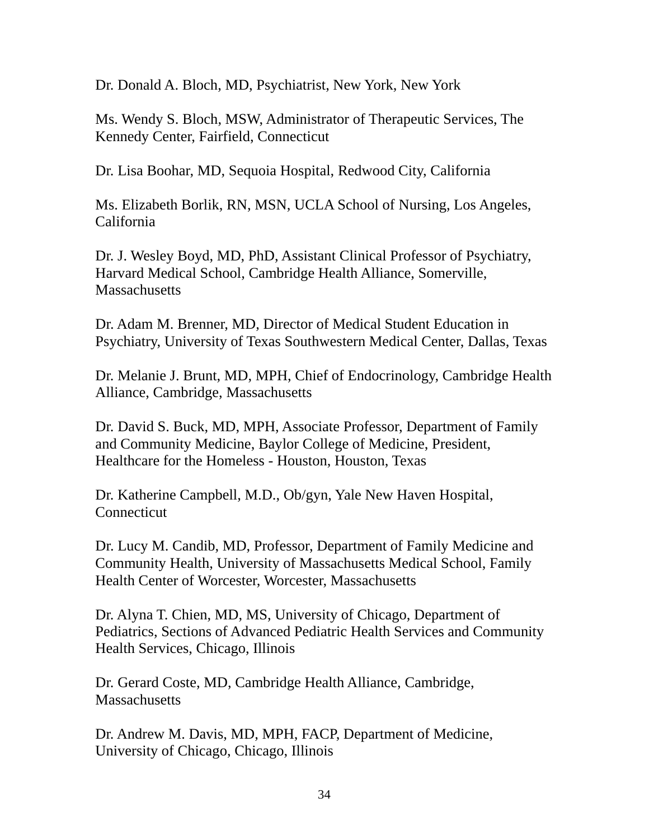Dr. Donald A. Bloch, MD, Psychiatrist, New York, New York

Ms. Wendy S. Bloch, MSW, Administrator of Therapeutic Services, The Kennedy Center, Fairfield, Connecticut

Dr. Lisa Boohar, MD, Sequoia Hospital, Redwood City, California

Ms. Elizabeth Borlik, RN, MSN, UCLA School of Nursing, Los Angeles, California

Dr. J. Wesley Boyd, MD, PhD, Assistant Clinical Professor of Psychiatry, Harvard Medical School, Cambridge Health Alliance, Somerville, **Massachusetts** 

Dr. Adam M. Brenner, MD, Director of Medical Student Education in Psychiatry, University of Texas Southwestern Medical Center, Dallas, Texas

Dr. Melanie J. Brunt, MD, MPH, Chief of Endocrinology, Cambridge Health Alliance, Cambridge, Massachusetts

Dr. David S. Buck, MD, MPH, Associate Professor, Department of Family and Community Medicine, Baylor College of Medicine, President, Healthcare for the Homeless - Houston, Houston, Texas

Dr. Katherine Campbell, M.D., Ob/gyn, Yale New Haven Hospital, **Connecticut** 

Dr. Lucy M. Candib, MD, Professor, Department of Family Medicine and Community Health, University of Massachusetts Medical School, Family Health Center of Worcester, Worcester, Massachusetts

Dr. Alyna T. Chien, MD, MS, University of Chicago, Department of Pediatrics, Sections of Advanced Pediatric Health Services and Community Health Services, Chicago, Illinois

Dr. Gerard Coste, MD, Cambridge Health Alliance, Cambridge, **Massachusetts** 

Dr. Andrew M. Davis, MD, MPH, FACP, Department of Medicine, University of Chicago, Chicago, Illinois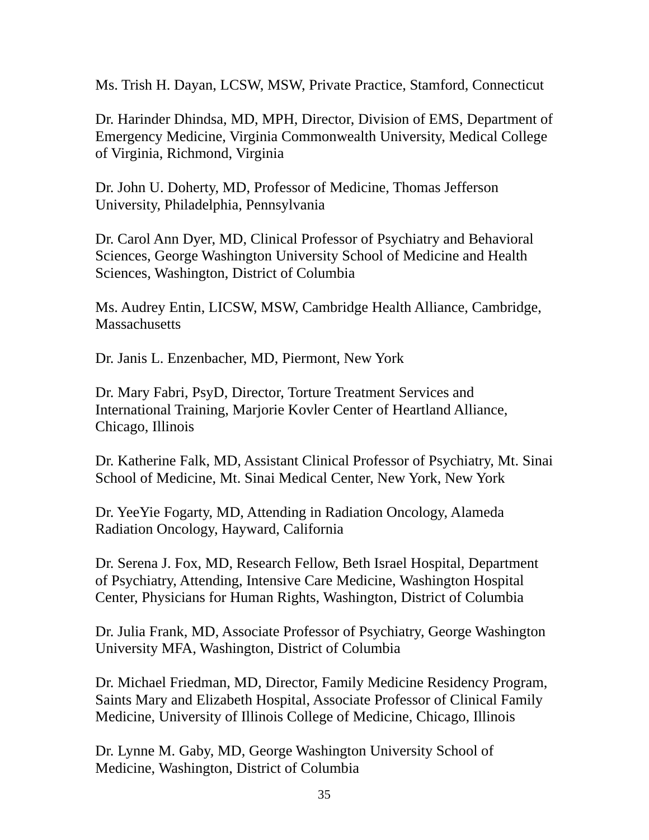Ms. Trish H. Dayan, LCSW, MSW, Private Practice, Stamford, Connecticut

Dr. Harinder Dhindsa, MD, MPH, Director, Division of EMS, Department of Emergency Medicine, Virginia Commonwealth University, Medical College of Virginia, Richmond, Virginia

Dr. John U. Doherty, MD, Professor of Medicine, Thomas Jefferson University, Philadelphia, Pennsylvania

Dr. Carol Ann Dyer, MD, Clinical Professor of Psychiatry and Behavioral Sciences, George Washington University School of Medicine and Health Sciences, Washington, District of Columbia

Ms. Audrey Entin, LICSW, MSW, Cambridge Health Alliance, Cambridge, **Massachusetts** 

Dr. Janis L. Enzenbacher, MD, Piermont, New York

Dr. Mary Fabri, PsyD, Director, Torture Treatment Services and International Training, Marjorie Kovler Center of Heartland Alliance, Chicago, Illinois

Dr. Katherine Falk, MD, Assistant Clinical Professor of Psychiatry, Mt. Sinai School of Medicine, Mt. Sinai Medical Center, New York, New York

Dr. YeeYie Fogarty, MD, Attending in Radiation Oncology, Alameda Radiation Oncology, Hayward, California

Dr. Serena J. Fox, MD, Research Fellow, Beth Israel Hospital, Department of Psychiatry, Attending, Intensive Care Medicine, Washington Hospital Center, Physicians for Human Rights, Washington, District of Columbia

Dr. Julia Frank, MD, Associate Professor of Psychiatry, George Washington University MFA, Washington, District of Columbia

Dr. Michael Friedman, MD, Director, Family Medicine Residency Program, Saints Mary and Elizabeth Hospital, Associate Professor of Clinical Family Medicine, University of Illinois College of Medicine, Chicago, Illinois

Dr. Lynne M. Gaby, MD, George Washington University School of Medicine, Washington, District of Columbia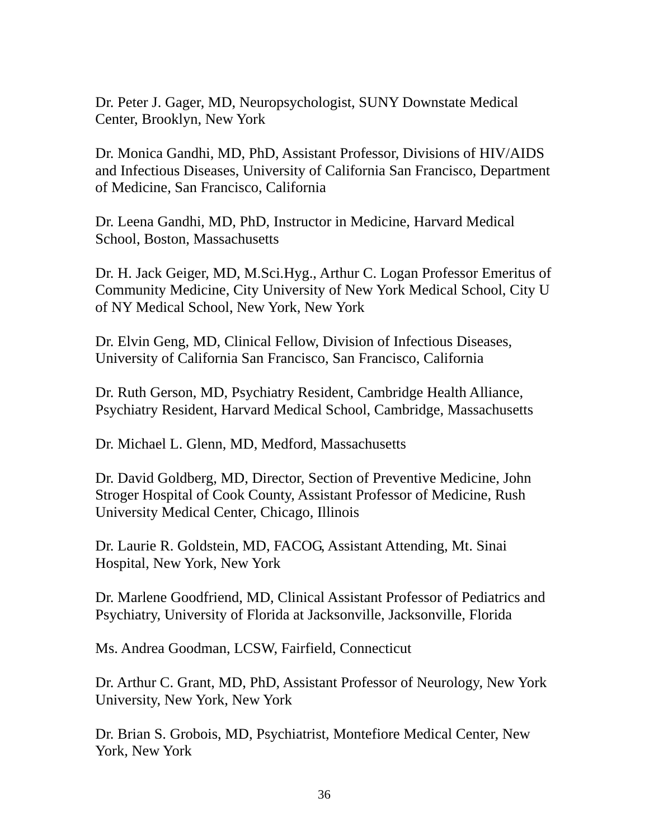Dr. Peter J. Gager, MD, Neuropsychologist, SUNY Downstate Medical Center, Brooklyn, New York

Dr. Monica Gandhi, MD, PhD, Assistant Professor, Divisions of HIV/AIDS and Infectious Diseases, University of California San Francisco, Department of Medicine, San Francisco, California

Dr. Leena Gandhi, MD, PhD, Instructor in Medicine, Harvard Medical School, Boston, Massachusetts

Dr. H. Jack Geiger, MD, M.Sci.Hyg., Arthur C. Logan Professor Emeritus of Community Medicine, City University of New York Medical School, City U of NY Medical School, New York, New York

Dr. Elvin Geng, MD, Clinical Fellow, Division of Infectious Diseases, University of California San Francisco, San Francisco, California

Dr. Ruth Gerson, MD, Psychiatry Resident, Cambridge Health Alliance, Psychiatry Resident, Harvard Medical School, Cambridge, Massachusetts

Dr. Michael L. Glenn, MD, Medford, Massachusetts

Dr. David Goldberg, MD, Director, Section of Preventive Medicine, John Stroger Hospital of Cook County, Assistant Professor of Medicine, Rush University Medical Center, Chicago, Illinois

Dr. Laurie R. Goldstein, MD, FACOG, Assistant Attending, Mt. Sinai Hospital, New York, New York

Dr. Marlene Goodfriend, MD, Clinical Assistant Professor of Pediatrics and Psychiatry, University of Florida at Jacksonville, Jacksonville, Florida

Ms. Andrea Goodman, LCSW, Fairfield, Connecticut

Dr. Arthur C. Grant, MD, PhD, Assistant Professor of Neurology, New York University, New York, New York

Dr. Brian S. Grobois, MD, Psychiatrist, Montefiore Medical Center, New York, New York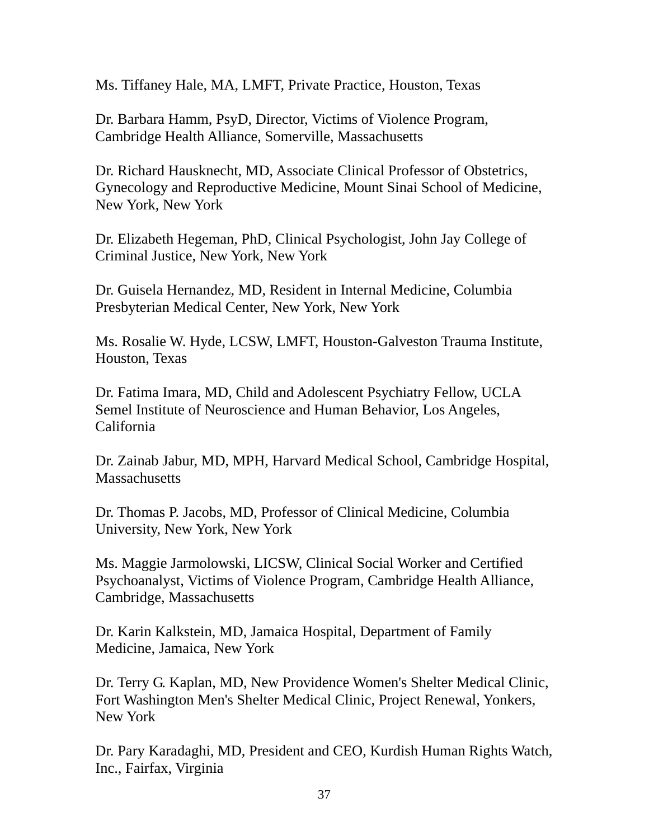Ms. Tiffaney Hale, MA, LMFT, Private Practice, Houston, Texas

Dr. Barbara Hamm, PsyD, Director, Victims of Violence Program, Cambridge Health Alliance, Somerville, Massachusetts

Dr. Richard Hausknecht, MD, Associate Clinical Professor of Obstetrics, Gynecology and Reproductive Medicine, Mount Sinai School of Medicine, New York, New York

Dr. Elizabeth Hegeman, PhD, Clinical Psychologist, John Jay College of Criminal Justice, New York, New York

Dr. Guisela Hernandez, MD, Resident in Internal Medicine, Columbia Presbyterian Medical Center, New York, New York

Ms. Rosalie W. Hyde, LCSW, LMFT, Houston-Galveston Trauma Institute, Houston, Texas

Dr. Fatima Imara, MD, Child and Adolescent Psychiatry Fellow, UCLA Semel Institute of Neuroscience and Human Behavior, Los Angeles, California

Dr. Zainab Jabur, MD, MPH, Harvard Medical School, Cambridge Hospital, **Massachusetts** 

Dr. Thomas P. Jacobs, MD, Professor of Clinical Medicine, Columbia University, New York, New York

Ms. Maggie Jarmolowski, LICSW, Clinical Social Worker and Certified Psychoanalyst, Victims of Violence Program, Cambridge Health Alliance, Cambridge, Massachusetts

Dr. Karin Kalkstein, MD, Jamaica Hospital, Department of Family Medicine, Jamaica, New York

Dr. Terry G. Kaplan, MD, New Providence Women's Shelter Medical Clinic, Fort Washington Men's Shelter Medical Clinic, Project Renewal, Yonkers, New York

Dr. Pary Karadaghi, MD, President and CEO, Kurdish Human Rights Watch, Inc., Fairfax, Virginia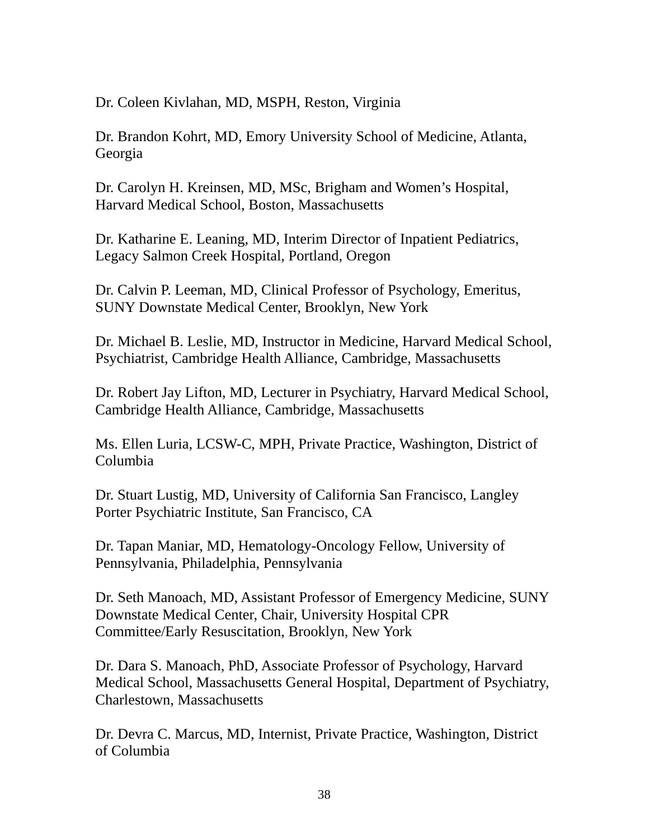Dr. Coleen Kivlahan, MD, MSPH, Reston, Virginia

Dr. Brandon Kohrt, MD, Emory University School of Medicine, Atlanta, Georgia

Dr. Carolyn H. Kreinsen, MD, MSc, Brigham and Women's Hospital, Harvard Medical School, Boston, Massachusetts

Dr. Katharine E. Leaning, MD, Interim Director of Inpatient Pediatrics, Legacy Salmon Creek Hospital, Portland, Oregon

Dr. Calvin P. Leeman, MD, Clinical Professor of Psychology, Emeritus, SUNY Downstate Medical Center, Brooklyn, New York

Dr. Michael B. Leslie, MD, Instructor in Medicine, Harvard Medical School, Psychiatrist, Cambridge Health Alliance, Cambridge, Massachusetts

Dr. Robert Jay Lifton, MD, Lecturer in Psychiatry, Harvard Medical School, Cambridge Health Alliance, Cambridge, Massachusetts

Ms. Ellen Luria, LCSW-C, MPH, Private Practice, Washington, District of Columbia

Dr. Stuart Lustig, MD, University of California San Francisco, Langley Porter Psychiatric Institute, San Francisco, CA

Dr. Tapan Maniar, MD, Hematology-Oncology Fellow, University of Pennsylvania, Philadelphia, Pennsylvania

Dr. Seth Manoach, MD, Assistant Professor of Emergency Medicine, SUNY Downstate Medical Center, Chair, University Hospital CPR Committee/Early Resuscitation, Brooklyn, New York

Dr. Dara S. Manoach, PhD, Associate Professor of Psychology, Harvard Medical School, Massachusetts General Hospital, Department of Psychiatry, Charlestown, Massachusetts

Dr. Devra C. Marcus, MD, Internist, Private Practice, Washington, District of Columbia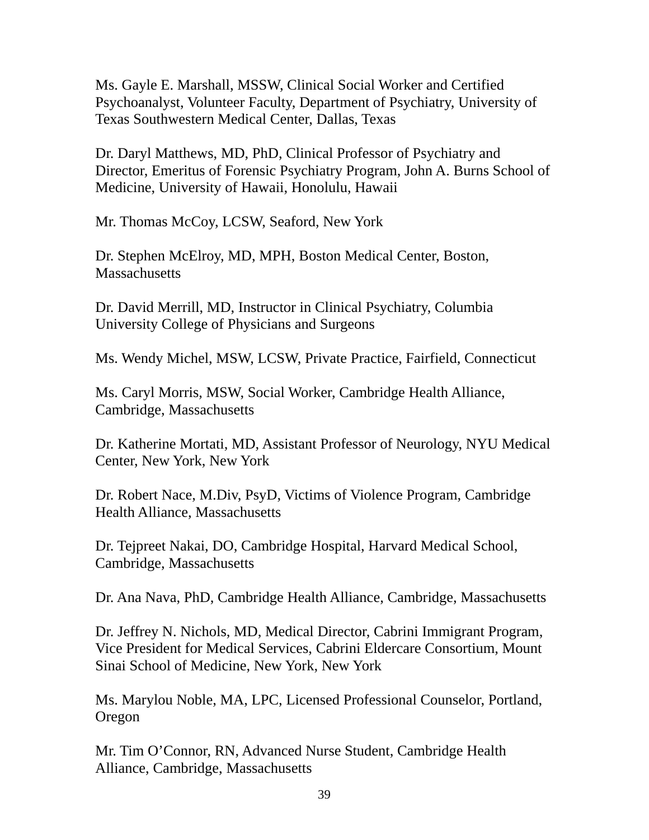Ms. Gayle E. Marshall, MSSW, Clinical Social Worker and Certified Psychoanalyst, Volunteer Faculty, Department of Psychiatry, University of Texas Southwestern Medical Center, Dallas, Texas

Dr. Daryl Matthews, MD, PhD, Clinical Professor of Psychiatry and Director, Emeritus of Forensic Psychiatry Program, John A. Burns School of Medicine, University of Hawaii, Honolulu, Hawaii

Mr. Thomas McCoy, LCSW, Seaford, New York

Dr. Stephen McElroy, MD, MPH, Boston Medical Center, Boston, **Massachusetts** 

Dr. David Merrill, MD, Instructor in Clinical Psychiatry, Columbia University College of Physicians and Surgeons

Ms. Wendy Michel, MSW, LCSW, Private Practice, Fairfield, Connecticut

Ms. Caryl Morris, MSW, Social Worker, Cambridge Health Alliance, Cambridge, Massachusetts

Dr. Katherine Mortati, MD, Assistant Professor of Neurology, NYU Medical Center, New York, New York

Dr. Robert Nace, M.Div, PsyD, Victims of Violence Program, Cambridge Health Alliance, Massachusetts

Dr. Tejpreet Nakai, DO, Cambridge Hospital, Harvard Medical School, Cambridge, Massachusetts

Dr. Ana Nava, PhD, Cambridge Health Alliance, Cambridge, Massachusetts

Dr. Jeffrey N. Nichols, MD, Medical Director, Cabrini Immigrant Program, Vice President for Medical Services, Cabrini Eldercare Consortium, Mount Sinai School of Medicine, New York, New York

Ms. Marylou Noble, MA, LPC, Licensed Professional Counselor, Portland, **Oregon** 

Mr. Tim O'Connor, RN, Advanced Nurse Student, Cambridge Health Alliance, Cambridge, Massachusetts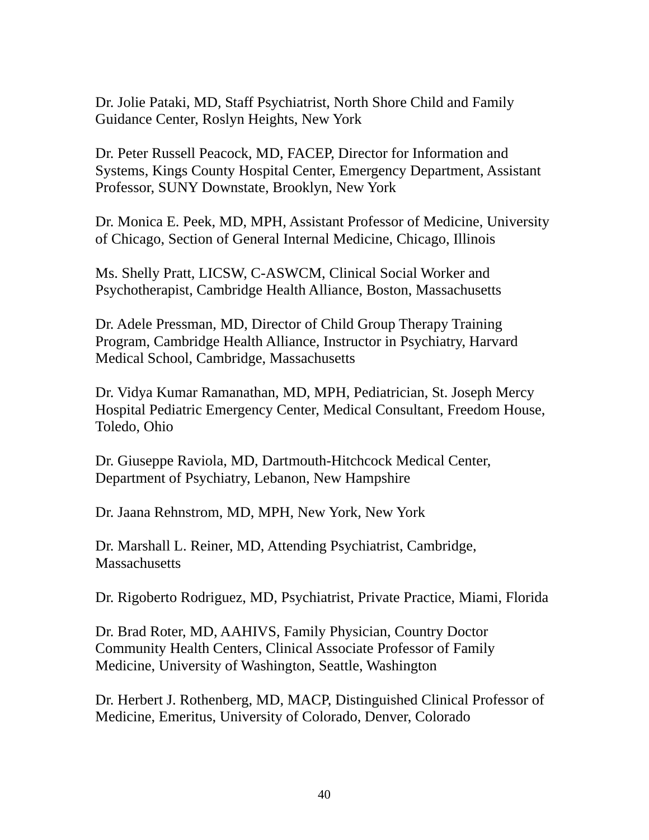Dr. Jolie Pataki, MD, Staff Psychiatrist, North Shore Child and Family Guidance Center, Roslyn Heights, New York

Dr. Peter Russell Peacock, MD, FACEP, Director for Information and Systems, Kings County Hospital Center, Emergency Department, Assistant Professor, SUNY Downstate, Brooklyn, New York

Dr. Monica E. Peek, MD, MPH, Assistant Professor of Medicine, University of Chicago, Section of General Internal Medicine, Chicago, Illinois

Ms. Shelly Pratt, LICSW, C-ASWCM, Clinical Social Worker and Psychotherapist, Cambridge Health Alliance, Boston, Massachusetts

Dr. Adele Pressman, MD, Director of Child Group Therapy Training Program, Cambridge Health Alliance, Instructor in Psychiatry, Harvard Medical School, Cambridge, Massachusetts

Dr. Vidya Kumar Ramanathan, MD, MPH, Pediatrician, St. Joseph Mercy Hospital Pediatric Emergency Center, Medical Consultant, Freedom House, Toledo, Ohio

Dr. Giuseppe Raviola, MD, Dartmouth-Hitchcock Medical Center, Department of Psychiatry, Lebanon, New Hampshire

Dr. Jaana Rehnstrom, MD, MPH, New York, New York

Dr. Marshall L. Reiner, MD, Attending Psychiatrist, Cambridge, **Massachusetts** 

Dr. Rigoberto Rodriguez, MD, Psychiatrist, Private Practice, Miami, Florida

Dr. Brad Roter, MD, AAHIVS, Family Physician, Country Doctor Community Health Centers, Clinical Associate Professor of Family Medicine, University of Washington, Seattle, Washington

Dr. Herbert J. Rothenberg, MD, MACP, Distinguished Clinical Professor of Medicine, Emeritus, University of Colorado, Denver, Colorado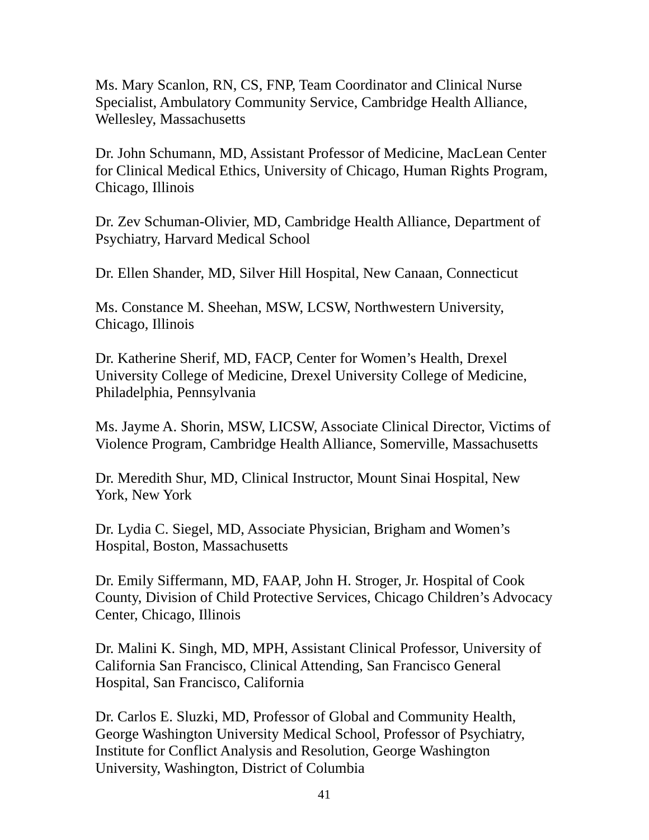Ms. Mary Scanlon, RN, CS, FNP, Team Coordinator and Clinical Nurse Specialist, Ambulatory Community Service, Cambridge Health Alliance, Wellesley, Massachusetts

Dr. John Schumann, MD, Assistant Professor of Medicine, MacLean Center for Clinical Medical Ethics, University of Chicago, Human Rights Program, Chicago, Illinois

Dr. Zev Schuman-Olivier, MD, Cambridge Health Alliance, Department of Psychiatry, Harvard Medical School

Dr. Ellen Shander, MD, Silver Hill Hospital, New Canaan, Connecticut

Ms. Constance M. Sheehan, MSW, LCSW, Northwestern University, Chicago, Illinois

Dr. Katherine Sherif, MD, FACP, Center for Women's Health, Drexel University College of Medicine, Drexel University College of Medicine, Philadelphia, Pennsylvania

Ms. Jayme A. Shorin, MSW, LICSW, Associate Clinical Director, Victims of Violence Program, Cambridge Health Alliance, Somerville, Massachusetts

Dr. Meredith Shur, MD, Clinical Instructor, Mount Sinai Hospital, New York, New York

Dr. Lydia C. Siegel, MD, Associate Physician, Brigham and Women's Hospital, Boston, Massachusetts

Dr. Emily Siffermann, MD, FAAP, John H. Stroger, Jr. Hospital of Cook County, Division of Child Protective Services, Chicago Children's Advocacy Center, Chicago, Illinois

Dr. Malini K. Singh, MD, MPH, Assistant Clinical Professor, University of California San Francisco, Clinical Attending, San Francisco General Hospital, San Francisco, California

Dr. Carlos E. Sluzki, MD, Professor of Global and Community Health, George Washington University Medical School, Professor of Psychiatry, Institute for Conflict Analysis and Resolution, George Washington University, Washington, District of Columbia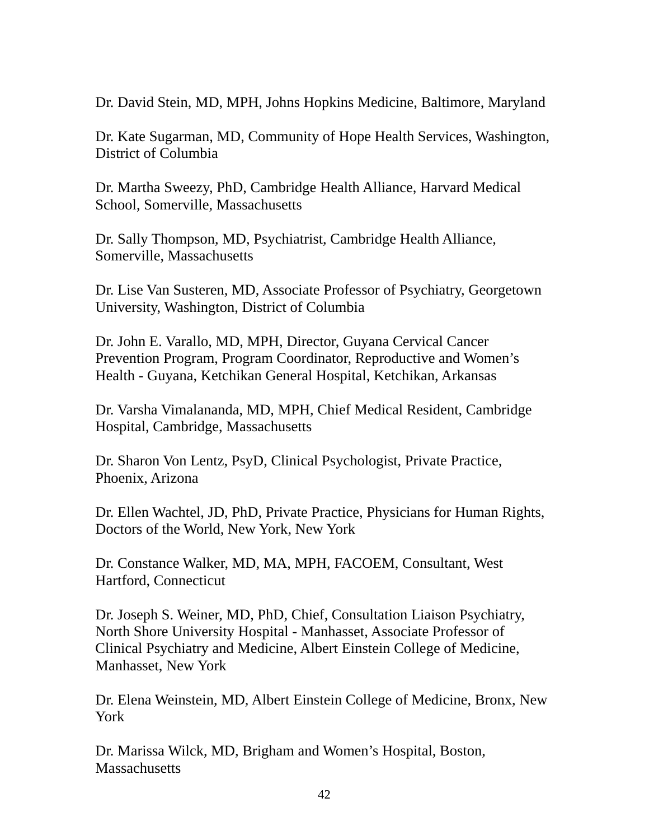Dr. David Stein, MD, MPH, Johns Hopkins Medicine, Baltimore, Maryland

Dr. Kate Sugarman, MD, Community of Hope Health Services, Washington, District of Columbia

Dr. Martha Sweezy, PhD, Cambridge Health Alliance, Harvard Medical School, Somerville, Massachusetts

Dr. Sally Thompson, MD, Psychiatrist, Cambridge Health Alliance, Somerville, Massachusetts

Dr. Lise Van Susteren, MD, Associate Professor of Psychiatry, Georgetown University, Washington, District of Columbia

Dr. John E. Varallo, MD, MPH, Director, Guyana Cervical Cancer Prevention Program, Program Coordinator, Reproductive and Women's Health - Guyana, Ketchikan General Hospital, Ketchikan, Arkansas

Dr. Varsha Vimalananda, MD, MPH, Chief Medical Resident, Cambridge Hospital, Cambridge, Massachusetts

Dr. Sharon Von Lentz, PsyD, Clinical Psychologist, Private Practice, Phoenix, Arizona

Dr. Ellen Wachtel, JD, PhD, Private Practice, Physicians for Human Rights, Doctors of the World, New York, New York

Dr. Constance Walker, MD, MA, MPH, FACOEM, Consultant, West Hartford, Connecticut

Dr. Joseph S. Weiner, MD, PhD, Chief, Consultation Liaison Psychiatry, North Shore University Hospital - Manhasset, Associate Professor of Clinical Psychiatry and Medicine, Albert Einstein College of Medicine, Manhasset, New York

Dr. Elena Weinstein, MD, Albert Einstein College of Medicine, Bronx, New York

Dr. Marissa Wilck, MD, Brigham and Women's Hospital, Boston, **Massachusetts**